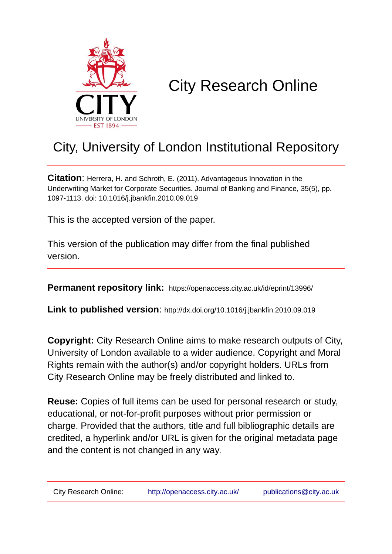

# City Research Online

# City, University of London Institutional Repository

**Citation**: Herrera, H. and Schroth, E. (2011). Advantageous Innovation in the Underwriting Market for Corporate Securities. Journal of Banking and Finance, 35(5), pp. 1097-1113. doi: 10.1016/j.jbankfin.2010.09.019

This is the accepted version of the paper.

This version of the publication may differ from the final published version.

**Permanent repository link:** https://openaccess.city.ac.uk/id/eprint/13996/

**Link to published version**: http://dx.doi.org/10.1016/j.jbankfin.2010.09.019

**Copyright:** City Research Online aims to make research outputs of City, University of London available to a wider audience. Copyright and Moral Rights remain with the author(s) and/or copyright holders. URLs from City Research Online may be freely distributed and linked to.

**Reuse:** Copies of full items can be used for personal research or study, educational, or not-for-profit purposes without prior permission or charge. Provided that the authors, title and full bibliographic details are credited, a hyperlink and/or URL is given for the original metadata page and the content is not changed in any way.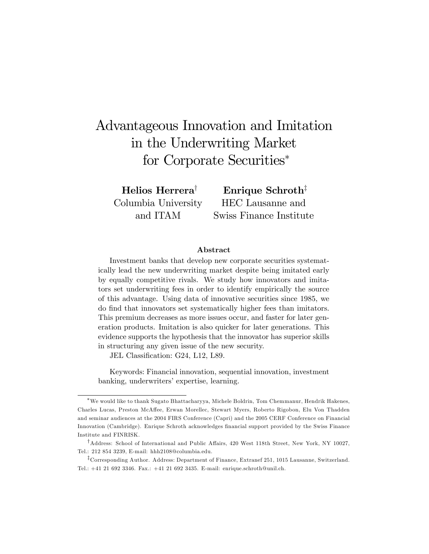# Advantageous Innovation and Imitation in the Underwriting Market for Corporate Securities

Helios Herrera<sup>†</sup> Columbia University and ITAM

Enrique Schroth<sup>‡</sup> HEC Lausanne and Swiss Finance Institute

#### Abstract

Investment banks that develop new corporate securities systematically lead the new underwriting market despite being imitated early by equally competitive rivals. We study how innovators and imitators set underwriting fees in order to identify empirically the source of this advantage. Using data of innovative securities since 1985, we do Önd that innovators set systematically higher fees than imitators. This premium decreases as more issues occur, and faster for later generation products. Imitation is also quicker for later generations. This evidence supports the hypothesis that the innovator has superior skills in structuring any given issue of the new security.

JEL Classification: G24, L12, L89.

Keywords: Financial innovation, sequential innovation, investment banking, underwriters' expertise, learning.

We would like to thank Sugato Bhattacharyya, Michele Boldrin, Tom Chemmanur, Hendrik Hakenes, Charles Lucas, Preston McA§ee, Erwan Morellec, Stewart Myers, Roberto Rigobon, Elu Von Thadden and seminar audiences at the 2004 FIRS Conference (Capri) and the 2005 CERF Conference on Financial Innovation (Cambridge). Enrique Schroth acknowledges financial support provided by the Swiss Finance Institute and FINRISK.

<sup>&</sup>lt;sup>†</sup>Address: School of International and Public Affairs, 420 West 118th Street, New York, NY 10027, Tel.: 212 854 3239, E-mail: hhh2108@columbia.edu.

<sup>&</sup>lt;sup>‡</sup>Corresponding Author. Address: Department of Finance, Extranef 251, 1015 Lausanne, Switzerland. Tel.: +41 21 692 3346. Fax.: +41 21 692 3435. E-mail: enrique.schroth@unil.ch.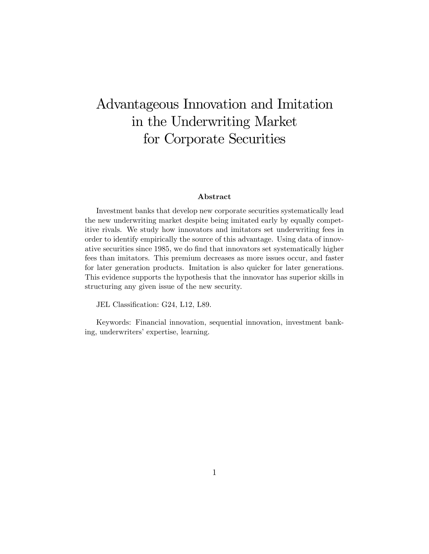# Advantageous Innovation and Imitation in the Underwriting Market for Corporate Securities

#### Abstract

Investment banks that develop new corporate securities systematically lead the new underwriting market despite being imitated early by equally competitive rivals. We study how innovators and imitators set underwriting fees in order to identify empirically the source of this advantage. Using data of innovative securities since 1985, we do Önd that innovators set systematically higher fees than imitators. This premium decreases as more issues occur, and faster for later generation products. Imitation is also quicker for later generations. This evidence supports the hypothesis that the innovator has superior skills in structuring any given issue of the new security.

JEL Classification: G24, L12, L89.

Keywords: Financial innovation, sequential innovation, investment banking, underwriters' expertise, learning.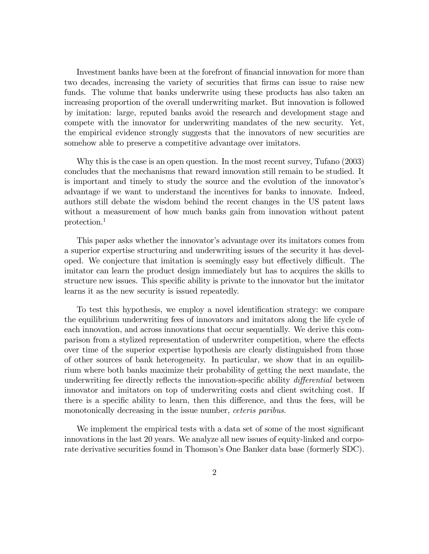Investment banks have been at the forefront of financial innovation for more than two decades, increasing the variety of securities that firms can issue to raise new funds. The volume that banks underwrite using these products has also taken an increasing proportion of the overall underwriting market. But innovation is followed by imitation: large, reputed banks avoid the research and development stage and compete with the innovator for underwriting mandates of the new security. Yet, the empirical evidence strongly suggests that the innovators of new securities are somehow able to preserve a competitive advantage over imitators.

Why this is the case is an open question. In the most recent survey, Tufano (2003) concludes that the mechanisms that reward innovation still remain to be studied. It is important and timely to study the source and the evolution of the innovator's advantage if we want to understand the incentives for banks to innovate. Indeed, authors still debate the wisdom behind the recent changes in the US patent laws without a measurement of how much banks gain from innovation without patent protection.<sup>1</sup>

This paper asks whether the innovator's advantage over its imitators comes from a superior expertise structuring and underwriting issues of the security it has developed. We conjecture that imitation is seemingly easy but effectively difficult. The imitator can learn the product design immediately but has to acquires the skills to structure new issues. This specific ability is private to the innovator but the imitator learns it as the new security is issued repeatedly.

To test this hypothesis, we employ a novel identification strategy: we compare the equilibrium underwriting fees of innovators and imitators along the life cycle of each innovation, and across innovations that occur sequentially. We derive this comparison from a stylized representation of underwriter competition, where the effects over time of the superior expertise hypothesis are clearly distinguished from those of other sources of bank heterogeneity. In particular, we show that in an equilibrium where both banks maximize their probability of getting the next mandate, the underwriting fee directly reflects the innovation-specific ability *differential* between innovator and imitators on top of underwriting costs and client switching cost. If there is a specific ability to learn, then this difference, and thus the fees, will be monotonically decreasing in the issue number, *ceteris paribus*.

We implement the empirical tests with a data set of some of the most significant innovations in the last 20 years. We analyze all new issues of equity-linked and corporate derivative securities found in Thomson's One Banker data base (formerly SDC).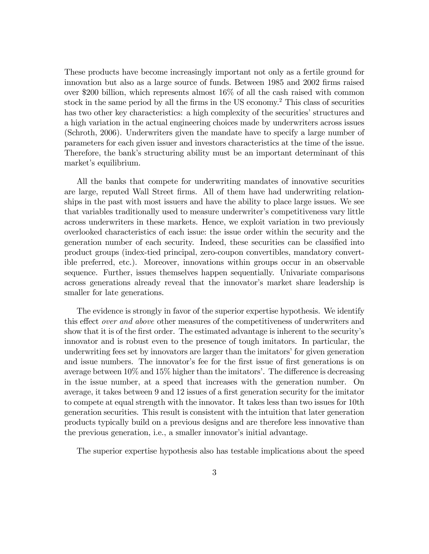These products have become increasingly important not only as a fertile ground for innovation but also as a large source of funds. Between 1985 and 2002 firms raised over \$200 billion, which represents almost 16% of all the cash raised with common stock in the same period by all the firms in the US economy.<sup>2</sup> This class of securities has two other key characteristics: a high complexity of the securities' structures and a high variation in the actual engineering choices made by underwriters across issues (Schroth, 2006). Underwriters given the mandate have to specify a large number of parameters for each given issuer and investors characteristics at the time of the issue. Therefore, the bank's structuring ability must be an important determinant of this market's equilibrium.

All the banks that compete for underwriting mandates of innovative securities are large, reputed Wall Street Örms. All of them have had underwriting relationships in the past with most issuers and have the ability to place large issues. We see that variables traditionally used to measure underwriter's competitiveness vary little across underwriters in these markets. Hence, we exploit variation in two previously overlooked characteristics of each issue: the issue order within the security and the generation number of each security. Indeed, these securities can be classified into product groups (index-tied principal, zero-coupon convertibles, mandatory convertible preferred, etc.). Moreover, innovations within groups occur in an observable sequence. Further, issues themselves happen sequentially. Univariate comparisons across generations already reveal that the innovator's market share leadership is smaller for late generations.

The evidence is strongly in favor of the superior expertise hypothesis. We identify this effect *over and above* other measures of the competitiveness of underwriters and show that it is of the first order. The estimated advantage is inherent to the security's innovator and is robust even to the presence of tough imitators. In particular, the underwriting fees set by innovators are larger than the imitators' for given generation and issue numbers. The innovator's fee for the first issue of first generations is on average between  $10\%$  and  $15\%$  higher than the imitators'. The difference is decreasing in the issue number, at a speed that increases with the generation number. On average, it takes between 9 and 12 issues of a first generation security for the imitator to compete at equal strength with the innovator. It takes less than two issues for 10th generation securities. This result is consistent with the intuition that later generation products typically build on a previous designs and are therefore less innovative than the previous generation, i.e., a smaller innovator's initial advantage.

The superior expertise hypothesis also has testable implications about the speed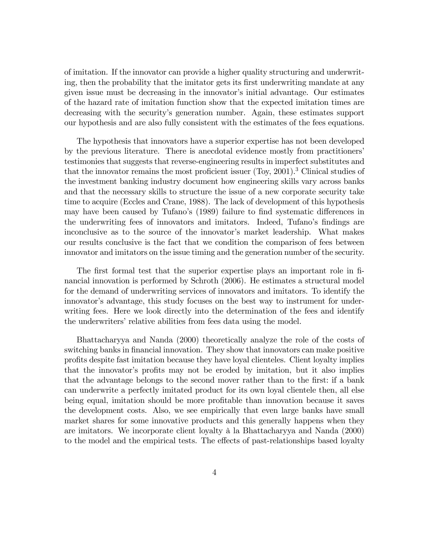of imitation. If the innovator can provide a higher quality structuring and underwriting, then the probability that the imitator gets its first underwriting mandate at any given issue must be decreasing in the innovator's initial advantage. Our estimates of the hazard rate of imitation function show that the expected imitation times are decreasing with the securityís generation number. Again, these estimates support our hypothesis and are also fully consistent with the estimates of the fees equations.

The hypothesis that innovators have a superior expertise has not been developed by the previous literature. There is anecdotal evidence mostly from practitioners' testimonies that suggests that reverse-engineering results in imperfect substitutes and that the innovator remains the most proficient issuer  $(Toy, 2001).$ <sup>3</sup> Clinical studies of the investment banking industry document how engineering skills vary across banks and that the necessary skills to structure the issue of a new corporate security take time to acquire (Eccles and Crane, 1988). The lack of development of this hypothesis may have been caused by Tufano's (1989) failure to find systematic differences in the underwriting fees of innovators and imitators. Indeed, Tufano's findings are inconclusive as to the source of the innovator's market leadership. What makes our results conclusive is the fact that we condition the comparison of fees between innovator and imitators on the issue timing and the generation number of the security.

The first formal test that the superior expertise plays an important role in financial innovation is performed by Schroth (2006). He estimates a structural model for the demand of underwriting services of innovators and imitators. To identify the innovator's advantage, this study focuses on the best way to instrument for underwriting fees. Here we look directly into the determination of the fees and identify the underwriters' relative abilities from fees data using the model.

Bhattacharyya and Nanda (2000) theoretically analyze the role of the costs of switching banks in financial innovation. They show that innovators can make positive proÖts despite fast imitation because they have loyal clienteles. Client loyalty implies that the innovator's profits may not be eroded by imitation, but it also implies that the advantage belongs to the second mover rather than to the first: if a bank can underwrite a perfectly imitated product for its own loyal clientele then, all else being equal, imitation should be more profitable than innovation because it saves the development costs. Also, we see empirically that even large banks have small market shares for some innovative products and this generally happens when they are imitators. We incorporate client loyalty à la Bhattacharyya and Nanda (2000) to the model and the empirical tests. The effects of past-relationships based loyalty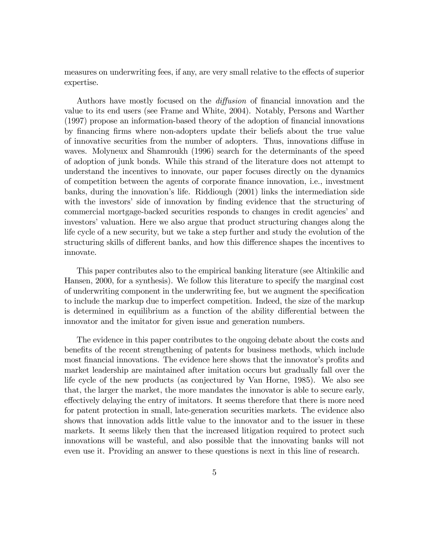measures on underwriting fees, if any, are very small relative to the effects of superior expertise.

Authors have mostly focused on the *diffusion* of financial innovation and the value to its end users (see Frame and White, 2004). Notably, Persons and Warther (1997) propose an information-based theory of the adoption of Önancial innovations by Önancing Örms where non-adopters update their beliefs about the true value of innovative securities from the number of adopters. Thus, innovations diffuse in waves. Molyneux and Shamroukh (1996) search for the determinants of the speed of adoption of junk bonds. While this strand of the literature does not attempt to understand the incentives to innovate, our paper focuses directly on the dynamics of competition between the agents of corporate Önance innovation, i.e., investment banks, during the innovation's life. Riddiough (2001) links the intermediation side with the investors' side of innovation by finding evidence that the structuring of commercial mortgage-backed securities responds to changes in credit agencies' and investors' valuation. Here we also argue that product structuring changes along the life cycle of a new security, but we take a step further and study the evolution of the structuring skills of different banks, and how this difference shapes the incentives to innovate.

This paper contributes also to the empirical banking literature (see Altinkilic and Hansen, 2000, for a synthesis). We follow this literature to specify the marginal cost of underwriting component in the underwriting fee, but we augment the specification to include the markup due to imperfect competition. Indeed, the size of the markup is determined in equilibrium as a function of the ability differential between the innovator and the imitator for given issue and generation numbers.

The evidence in this paper contributes to the ongoing debate about the costs and benefits of the recent strengthening of patents for business methods, which include most financial innovations. The evidence here shows that the innovator's profits and market leadership are maintained after imitation occurs but gradually fall over the life cycle of the new products (as conjectured by Van Horne, 1985). We also see that, the larger the market, the more mandates the innovator is able to secure early, effectively delaying the entry of imitators. It seems therefore that there is more need for patent protection in small, late-generation securities markets. The evidence also shows that innovation adds little value to the innovator and to the issuer in these markets. It seems likely then that the increased litigation required to protect such innovations will be wasteful, and also possible that the innovating banks will not even use it. Providing an answer to these questions is next in this line of research.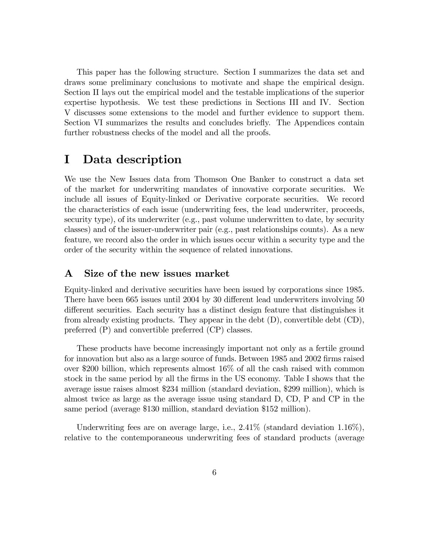This paper has the following structure. Section I summarizes the data set and draws some preliminary conclusions to motivate and shape the empirical design. Section II lays out the empirical model and the testable implications of the superior expertise hypothesis. We test these predictions in Sections III and IV. Section V discusses some extensions to the model and further evidence to support them. Section VI summarizes the results and concludes briefly. The Appendices contain further robustness checks of the model and all the proofs.

# I Data description

We use the New Issues data from Thomson One Banker to construct a data set of the market for underwriting mandates of innovative corporate securities. We include all issues of Equity-linked or Derivative corporate securities. We record the characteristics of each issue (underwriting fees, the lead underwriter, proceeds, security type), of its underwriter (e.g., past volume underwritten to date, by security classes) and of the issuer-underwriter pair (e.g., past relationships counts). As a new feature, we record also the order in which issues occur within a security type and the order of the security within the sequence of related innovations.

# A Size of the new issues market

Equity-linked and derivative securities have been issued by corporations since 1985. There have been 665 issues until 2004 by 30 different lead underwriters involving 50 different securities. Each security has a distinct design feature that distinguishes it from already existing products. They appear in the debt (D), convertible debt (CD), preferred (P) and convertible preferred (CP) classes.

These products have become increasingly important not only as a fertile ground for innovation but also as a large source of funds. Between 1985 and 2002 firms raised over \$200 billion, which represents almost 16% of all the cash raised with common stock in the same period by all the firms in the US economy. Table I shows that the average issue raises almost \$234 million (standard deviation, \$299 million), which is almost twice as large as the average issue using standard D, CD, P and CP in the same period (average \$130 million, standard deviation \$152 million).

Underwriting fees are on average large, i.e.,  $2.41\%$  (standard deviation 1.16%), relative to the contemporaneous underwriting fees of standard products (average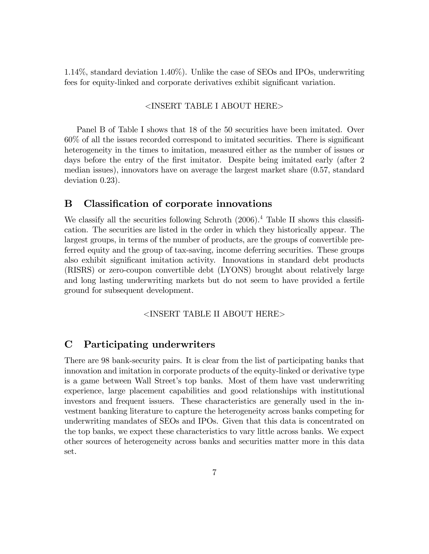1.14%, standard deviation 1.40%). Unlike the case of SEOs and IPOs, underwriting fees for equity-linked and corporate derivatives exhibit significant variation.

#### <INSERT TABLE I ABOUT HERE>

Panel B of Table I shows that 18 of the 50 securities have been imitated. Over  $60\%$  of all the issues recorded correspond to imitated securities. There is significant heterogeneity in the times to imitation, measured either as the number of issues or days before the entry of the first imitator. Despite being imitated early (after 2) median issues), innovators have on average the largest market share (0.57, standard deviation 0.23).

# B Classification of corporate innovations

We classify all the securities following Schroth  $(2006).<sup>4</sup>$  Table II shows this classification. The securities are listed in the order in which they historically appear. The largest groups, in terms of the number of products, are the groups of convertible preferred equity and the group of tax-saving, income deferring securities. These groups also exhibit significant imitation activity. Innovations in standard debt products (RISRS) or zero-coupon convertible debt (LYONS) brought about relatively large and long lasting underwriting markets but do not seem to have provided a fertile ground for subsequent development.

#### <INSERT TABLE II ABOUT HERE>

# C Participating underwriters

There are 98 bank-security pairs. It is clear from the list of participating banks that innovation and imitation in corporate products of the equity-linked or derivative type is a game between Wall Street's top banks. Most of them have vast underwriting experience, large placement capabilities and good relationships with institutional investors and frequent issuers. These characteristics are generally used in the investment banking literature to capture the heterogeneity across banks competing for underwriting mandates of SEOs and IPOs. Given that this data is concentrated on the top banks, we expect these characteristics to vary little across banks. We expect other sources of heterogeneity across banks and securities matter more in this data set.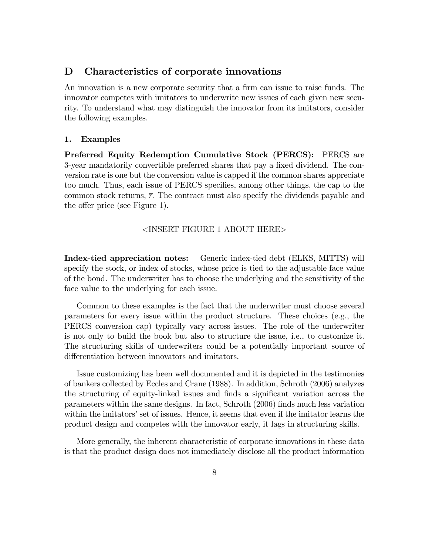## D Characteristics of corporate innovations

An innovation is a new corporate security that a firm can issue to raise funds. The innovator competes with imitators to underwrite new issues of each given new security. To understand what may distinguish the innovator from its imitators, consider the following examples.

#### 1. Examples

Preferred Equity Redemption Cumulative Stock (PERCS): PERCS are 3-year mandatorily convertible preferred shares that pay a fixed dividend. The conversion rate is one but the conversion value is capped if the common shares appreciate too much. Thus, each issue of PERCS specifies, among other things, the cap to the common stock returns,  $\bar{r}$ . The contract must also specify the dividends payable and the offer price (see Figure 1).

#### <INSERT FIGURE 1 ABOUT HERE>

Index-tied appreciation notes: Generic index-tied debt (ELKS, MITTS) will specify the stock, or index of stocks, whose price is tied to the adjustable face value of the bond. The underwriter has to choose the underlying and the sensitivity of the face value to the underlying for each issue.

Common to these examples is the fact that the underwriter must choose several parameters for every issue within the product structure. These choices (e.g., the PERCS conversion cap) typically vary across issues. The role of the underwriter is not only to build the book but also to structure the issue, i.e., to customize it. The structuring skills of underwriters could be a potentially important source of differentiation between innovators and imitators.

Issue customizing has been well documented and it is depicted in the testimonies of bankers collected by Eccles and Crane (1988). In addition, Schroth (2006) analyzes the structuring of equity-linked issues and finds a significant variation across the parameters within the same designs. In fact, Schroth (2006) Önds much less variation within the imitators' set of issues. Hence, it seems that even if the imitator learns the product design and competes with the innovator early, it lags in structuring skills.

More generally, the inherent characteristic of corporate innovations in these data is that the product design does not immediately disclose all the product information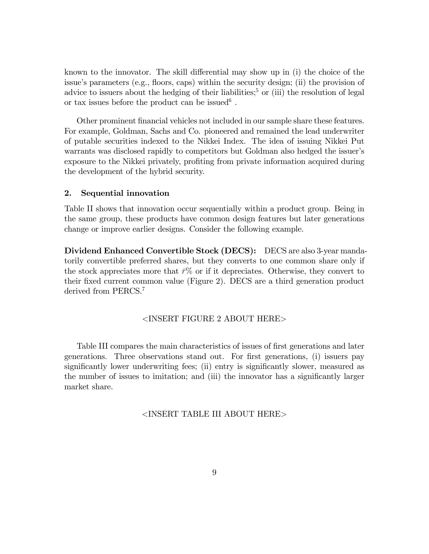known to the innovator. The skill differential may show up in  $(i)$  the choice of the issue's parameters (e.g., floors, caps) within the security design; (ii) the provision of advice to issuers about the hedging of their liabilities;<sup>5</sup> or (iii) the resolution of legal or tax issues before the product can be issued<sup>6</sup>.

Other prominent Önancial vehicles not included in our sample share these features. For example, Goldman, Sachs and Co. pioneered and remained the lead underwriter of putable securities indexed to the Nikkei Index. The idea of issuing Nikkei Put warrants was disclosed rapidly to competitors but Goldman also hedged the issuer's exposure to the Nikkei privately, profiting from private information acquired during the development of the hybrid security.

#### 2. Sequential innovation

Table II shows that innovation occur sequentially within a product group. Being in the same group, these products have common design features but later generations change or improve earlier designs. Consider the following example.

Dividend Enhanced Convertible Stock (DECS): DECS are also 3-year mandatorily convertible preferred shares, but they converts to one common share only if the stock appreciates more that  $\bar{r}\%$  or if it depreciates. Otherwise, they convert to their fixed current common value (Figure 2). DECS are a third generation product derived from PERCS.<sup>7</sup>

#### <INSERT FIGURE 2 ABOUT HERE>

Table III compares the main characteristics of issues of first generations and later generations. Three observations stand out. For first generations, (i) issuers pay significantly lower underwriting fees; (ii) entry is significantly slower, measured as the number of issues to imitation; and (iii) the innovator has a significantly larger market share.

#### <INSERT TABLE III ABOUT HERE>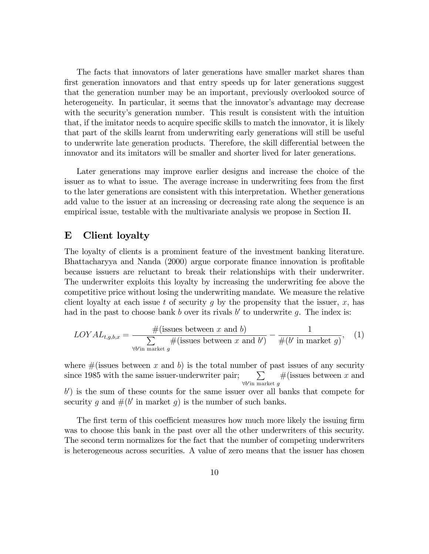The facts that innovators of later generations have smaller market shares than first generation innovators and that entry speeds up for later generations suggest that the generation number may be an important, previously overlooked source of heterogeneity. In particular, it seems that the innovator's advantage may decrease with the security's generation number. This result is consistent with the intuition that, if the imitator needs to acquire specific skills to match the innovator, it is likely that part of the skills learnt from underwriting early generations will still be useful to underwrite late generation products. Therefore, the skill differential between the innovator and its imitators will be smaller and shorter lived for later generations.

Later generations may improve earlier designs and increase the choice of the issuer as to what to issue. The average increase in underwriting fees from the first to the later generations are consistent with this interpretation. Whether generations add value to the issuer at an increasing or decreasing rate along the sequence is an empirical issue, testable with the multivariate analysis we propose in Section II.

# E Client loyalty

The loyalty of clients is a prominent feature of the investment banking literature. Bhattacharyya and Nanda (2000) argue corporate finance innovation is profitable because issuers are reluctant to break their relationships with their underwriter. The underwriter exploits this loyalty by increasing the underwriting fee above the competitive price without losing the underwriting mandate. We measure the relative client loyalty at each issue t of security g by the propensity that the issuer,  $x$ , has had in the past to choose bank b over its rivals  $b'$  to underwrite g. The index is:

$$
LOYAL_{t,g,b,x} = \frac{\#(\text{issues between } x \text{ and } b)}{\sum_{\forall b' \text{in market } g} \#(\text{issues between } x \text{ and } b')} - \frac{1}{\#(b' \text{ in market } g)}, \quad (1)
$$

where  $\#$  (issues between x and b) is the total number of past issues of any security since 1985 with the same issuer-underwriter pair;  $\forall b'$ in market g  $#($ issues between x and b 0 ) is the sum of these counts for the same issuer over all banks that compete for security g and  $\#(b' \text{ in market } g)$  is the number of such banks.

The first term of this coefficient measures how much more likely the issuing firm was to choose this bank in the past over all the other underwriters of this security. The second term normalizes for the fact that the number of competing underwriters is heterogeneous across securities. A value of zero means that the issuer has chosen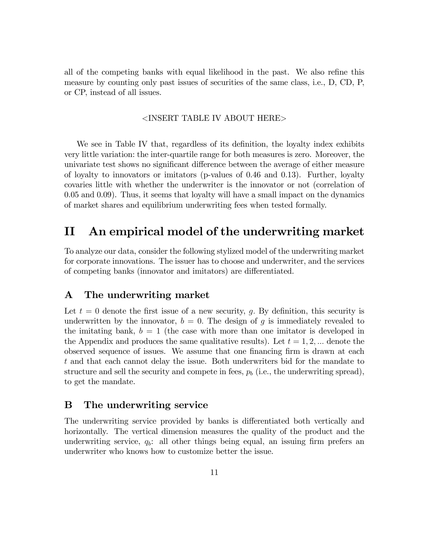all of the competing banks with equal likelihood in the past. We also refine this measure by counting only past issues of securities of the same class, i.e., D, CD, P, or CP, instead of all issues.

#### <INSERT TABLE IV ABOUT HERE>

We see in Table IV that, regardless of its definition, the loyalty index exhibits very little variation: the inter-quartile range for both measures is zero. Moreover, the univariate test shows no significant difference between the average of either measure of loyalty to innovators or imitators (p-values of 0.46 and 0.13). Further, loyalty covaries little with whether the underwriter is the innovator or not (correlation of 0.05 and 0.09). Thus, it seems that loyalty will have a small impact on the dynamics of market shares and equilibrium underwriting fees when tested formally.

# II An empirical model of the underwriting market

To analyze our data, consider the following stylized model of the underwriting market for corporate innovations. The issuer has to choose and underwriter, and the services of competing banks (innovator and imitators) are differentiated.

# A The underwriting market

Let  $t = 0$  denote the first issue of a new security, g. By definition, this security is underwritten by the innovator,  $b = 0$ . The design of g is immediately revealed to the imitating bank,  $b = 1$  (the case with more than one imitator is developed in the Appendix and produces the same qualitative results). Let  $t = 1, 2, ...$  denote the observed sequence of issues. We assume that one Önancing Örm is drawn at each t and that each cannot delay the issue. Both underwriters bid for the mandate to structure and sell the security and compete in fees,  $p<sub>b</sub>$  (i.e., the underwriting spread), to get the mandate.

# B The underwriting service

The underwriting service provided by banks is differentiated both vertically and horizontally. The vertical dimension measures the quality of the product and the underwriting service,  $q_b$ : all other things being equal, an issuing firm prefers an underwriter who knows how to customize better the issue.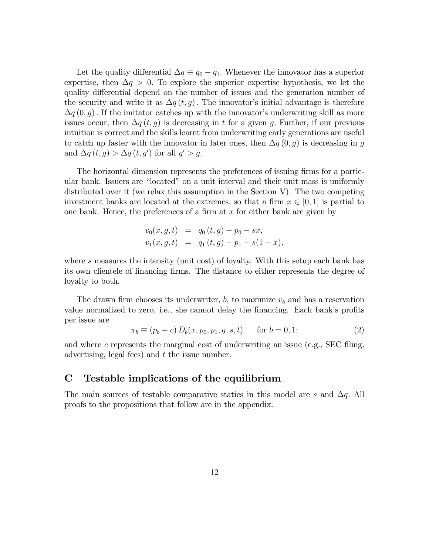Let the quality differential  $\Delta q \equiv q_0 - q_1$ . Whenever the innovator has a superior expertise, then  $\Delta q > 0$ . To explore the superior expertise hypothesis, we let the quality differential depend on the number of issues and the generation number of the security and write it as  $\Delta q(t, g)$ . The innovator's initial advantage is therefore  $\Delta q$  (0, g). If the imitator catches up with the innovator's underwriting skill as more issues occur, then  $\Delta q$  (t, g) is decreasing in t for a given g. Further, if our previous intuition is correct and the skills learnt from underwriting early generations are useful to catch up faster with the innovator in later ones, then  $\Delta q (0, q)$  is decreasing in g and  $\Delta q(t,g) > \Delta q(t,g')$  for all  $g' > g$ .

The horizontal dimension represents the preferences of issuing firms for a particular bank. Issuers are "located" on a unit interval and their unit mass is uniformly distributed over it (we relax this assumption in the Section V). The two competing investment banks are located at the extremes, so that a firm  $x \in [0, 1]$  is partial to one bank. Hence, the preferences of a firm at  $x$  for either bank are given by

$$
v_0(x, g, t) = q_0(t, g) - p_0 - sx,
$$
  

$$
v_1(x, g, t) = q_1(t, g) - p_1 - s(1 - x),
$$

where s measures the intensity (unit cost) of loyalty. With this setup each bank has its own clientele of financing firms. The distance to either represents the degree of loyalty to both.

The drawn firm chooses its underwriter,  $b$ , to maximize  $v<sub>b</sub>$  and has a reservation value normalized to zero, i.e., she cannot delay the financing. Each bank's profits per issue are

$$
\pi_b \equiv (p_b - c) D_b(x, p_0, p_1, g, s, t) \quad \text{for } b = 0, 1; \tag{2}
$$

and where c represents the marginal cost of underwriting an issue (e.g., SEC filing, advertising, legal fees) and  $t$  the issue number.

# C Testable implications of the equilibrium

The main sources of testable comparative statics in this model are s and  $\Delta q$ . All proofs to the propositions that follow are in the appendix.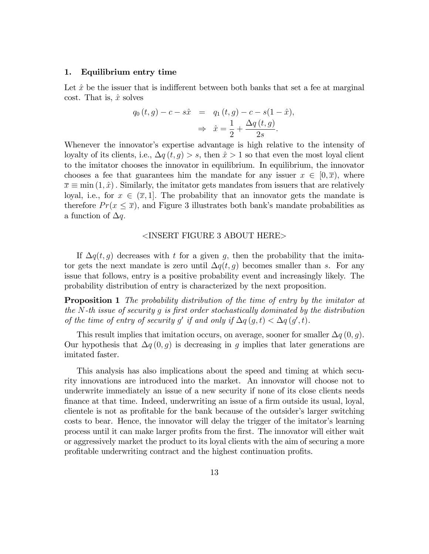#### 1. Equilibrium entry time

Let  $\hat{x}$  be the issuer that is indifferent between both banks that set a fee at marginal cost. That is,  $\hat{x}$  solves

$$
q_0(t,g) - c - s\hat{x} = q_1(t,g) - c - s(1 - \hat{x}),
$$
  

$$
\Rightarrow \hat{x} = \frac{1}{2} + \frac{\Delta q(t,g)}{2s}.
$$

Whenever the innovator's expertise advantage is high relative to the intensity of loyalty of its clients, i.e.,  $\Delta q(t, g) > s$ , then  $\hat{x} > 1$  so that even the most loyal client to the imitator chooses the innovator in equilibrium. In equilibrium, the innovator chooses a fee that guarantees him the mandate for any issuer  $x \in [0, \overline{x})$ , where  $\overline{x} \equiv \min(1,\hat{x})$ . Similarly, the imitator gets mandates from issuers that are relatively loyal, i.e., for  $x \in (\overline{x}, 1]$ . The probability that an innovator gets the mandate is therefore  $Pr(x \leq \overline{x})$ , and Figure 3 illustrates both bank's mandate probabilities as a function of  $\Delta q$ .

## <INSERT FIGURE 3 ABOUT HERE>

If  $\Delta q(t, g)$  decreases with t for a given g, then the probability that the imitator gets the next mandate is zero until  $\Delta q(t, g)$  becomes smaller than s. For any issue that follows, entry is a positive probability event and increasingly likely. The probability distribution of entry is characterized by the next proposition.

**Proposition 1** The probability distribution of the time of entry by the imitator at the N-th issue of security g is first order stochastically dominated by the distribution of the time of entry of security g' if and only if  $\Delta q (g, t) < \Delta q (g', t)$ .

This result implies that imitation occurs, on average, sooner for smaller  $\Delta q (0, g)$ . Our hypothesis that  $\Delta q (0, g)$  is decreasing in g implies that later generations are imitated faster.

This analysis has also implications about the speed and timing at which security innovations are introduced into the market. An innovator will choose not to underwrite immediately an issue of a new security if none of its close clients needs finance at that time. Indeed, underwriting an issue of a firm outside its usual, loyal, clientele is not as profitable for the bank because of the outsider's larger switching costs to bear. Hence, the innovator will delay the trigger of the imitator's learning process until it can make larger profits from the first. The innovator will either wait or aggressively market the product to its loyal clients with the aim of securing a more profitable underwriting contract and the highest continuation profits.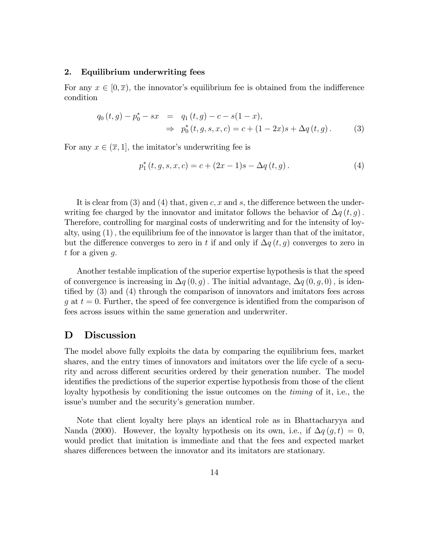#### 2. Equilibrium underwriting fees

For any  $x \in [0, \overline{x})$ , the innovator's equilibrium fee is obtained from the indifference condition

$$
q_0(t,g) - p_0^* - sx = q_1(t,g) - c - s(1-x),
$$
  
\n
$$
\Rightarrow p_0^*(t,g,s,x,c) = c + (1-2x)s + \Delta q(t,g).
$$
 (3)

For any  $x \in (\overline{x}, 1]$ , the imitator's underwriting fee is

$$
p_1^*(t, g, s, x, c) = c + (2x - 1)s - \Delta q(t, g).
$$
 (4)

It is clear from (3) and (4) that, given c, x and s, the difference between the underwriting fee charged by the innovator and imitator follows the behavior of  $\Delta q(t, g)$ . Therefore, controlling for marginal costs of underwriting and for the intensity of loyalty, using  $(1)$ , the equilibrium fee of the innovator is larger than that of the imitator, but the difference converges to zero in t if and only if  $\Delta q(t, g)$  converges to zero in t for a given  $g$ .

Another testable implication of the superior expertise hypothesis is that the speed of convergence is increasing in  $\Delta q (0, q)$ . The initial advantage,  $\Delta q (0, q, 0)$ , is identified by  $(3)$  and  $(4)$  through the comparison of innovators and imitators fees across q at  $t = 0$ . Further, the speed of fee convergence is identified from the comparison of fees across issues within the same generation and underwriter.

## D Discussion

The model above fully exploits the data by comparing the equilibrium fees, market shares, and the entry times of innovators and imitators over the life cycle of a security and across different securities ordered by their generation number. The model identifies the predictions of the superior expertise hypothesis from those of the client loyalty hypothesis by conditioning the issue outcomes on the timing of it, i.e., the issue's number and the security's generation number.

Note that client loyalty here plays an identical role as in Bhattacharyya and Nanda (2000). However, the loyalty hypothesis on its own, i.e., if  $\Delta q (g, t) = 0$ , would predict that imitation is immediate and that the fees and expected market shares differences between the innovator and its imitators are stationary.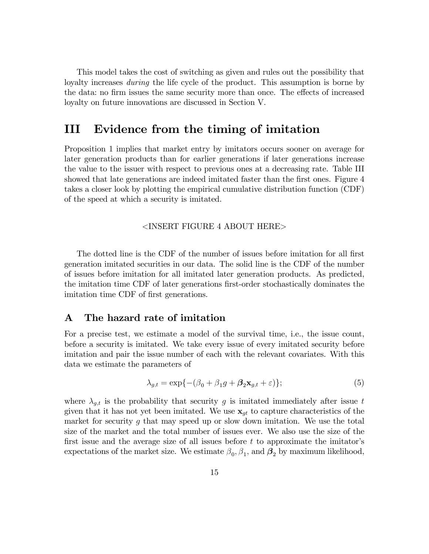This model takes the cost of switching as given and rules out the possibility that loyalty increases *during* the life cycle of the product. This assumption is borne by the data: no firm issues the same security more than once. The effects of increased loyalty on future innovations are discussed in Section V.

# III Evidence from the timing of imitation

Proposition 1 implies that market entry by imitators occurs sooner on average for later generation products than for earlier generations if later generations increase the value to the issuer with respect to previous ones at a decreasing rate. Table III showed that late generations are indeed imitated faster than the first ones. Figure 4 takes a closer look by plotting the empirical cumulative distribution function (CDF) of the speed at which a security is imitated.

#### <INSERT FIGURE 4 ABOUT HERE>

The dotted line is the CDF of the number of issues before imitation for all first generation imitated securities in our data. The solid line is the CDF of the number of issues before imitation for all imitated later generation products. As predicted, the imitation time CDF of later generations first-order stochastically dominates the imitation time CDF of first generations.

# A The hazard rate of imitation

For a precise test, we estimate a model of the survival time, i.e., the issue count, before a security is imitated. We take every issue of every imitated security before imitation and pair the issue number of each with the relevant covariates. With this data we estimate the parameters of

$$
\lambda_{g,t} = \exp\{-\left(\beta_0 + \beta_1 g + \beta_2 \mathbf{x}_{g,t} + \varepsilon\right)\};\tag{5}
$$

where  $\lambda_{g,t}$  is the probability that security g is imitated immediately after issue t given that it has not yet been imitated. We use  $\mathbf{x}_{gt}$  to capture characteristics of the market for security g that may speed up or slow down imitation. We use the total size of the market and the total number of issues ever. We also use the size of the first issue and the average size of all issues before  $t$  to approximate the imitator's expectations of the market size. We estimate  $\beta_0, \beta_1$ , and  $\beta_2$  by maximum likelihood,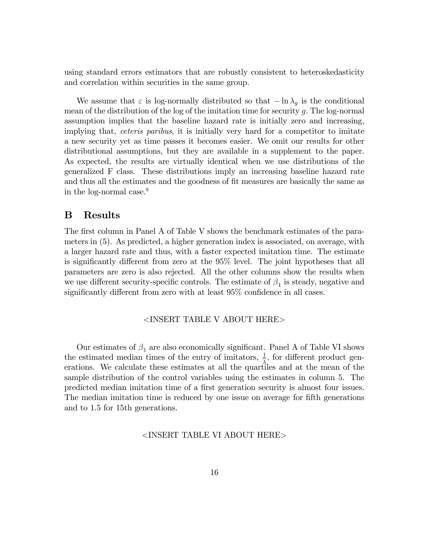using standard errors estimators that are robustly consistent to heteroskedasticity and correlation within securities in the same group.

We assume that  $\varepsilon$  is log-normally distributed so that  $-\ln \lambda_g$  is the conditional mean of the distribution of the log of the imitation time for security  $g$ . The log-normal assumption implies that the baseline hazard rate is initially zero and increasing, implying that, ceteris paribus, it is initially very hard for a competitor to imitate a new security yet as time passes it becomes easier. We omit our results for other distributional assumptions, but they are available in a supplement to the paper. As expected, the results are virtually identical when we use distributions of the generalized F class. These distributions imply an increasing baseline hazard rate and thus all the estimates and the goodness of fit measures are basically the same as in the log-normal case.<sup>8</sup>

## B Results

The first column in Panel A of Table V shows the benchmark estimates of the parameters in (5). As predicted, a higher generation index is associated, on average, with a larger hazard rate and thus, with a faster expected imitation time. The estimate is significantly different from zero at the  $95\%$  level. The joint hypotheses that all parameters are zero is also rejected. All the other columns show the results when we use different security-specific controls. The estimate of  $\beta_1$  is steady, negative and significantly different from zero with at least  $95\%$  confidence in all cases.

#### <INSERT TABLE V ABOUT HERE>

Our estimates of  $\beta_1$  are also economically significant. Panel A of Table VI shows the estimated median times of the entry of imitators,  $\frac{1}{5}$ , for different product generations. We calculate these estimates at all the quartiles and at the mean of the sample distribution of the control variables using the estimates in column 5. The predicted median imitation time of a first generation security is almost four issues. The median imitation time is reduced by one issue on average for fifth generations and to 1.5 for 15th generations.

#### <INSERT TABLE VI ABOUT HERE>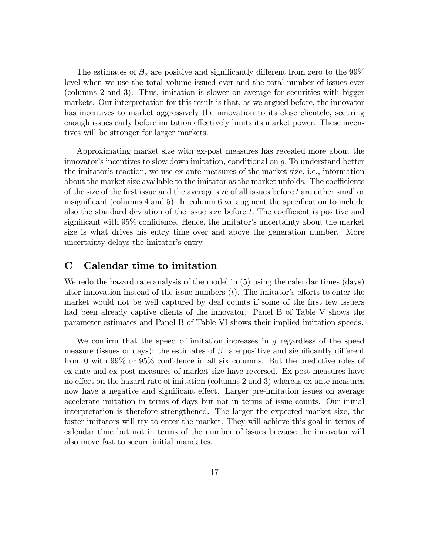The estimates of  $\beta_2$  are positive and significantly different from zero to the 99% level when we use the total volume issued ever and the total number of issues ever (columns 2 and 3). Thus, imitation is slower on average for securities with bigger markets. Our interpretation for this result is that, as we argued before, the innovator has incentives to market aggressively the innovation to its close clientele, securing enough issues early before imitation effectively limits its market power. These incentives will be stronger for larger markets.

Approximating market size with ex-post measures has revealed more about the innovator's incentives to slow down imitation, conditional on  $g$ . To understand better the imitator's reaction, we use ex-ante measures of the market size, i.e., information about the market size available to the imitator as the market unfolds. The coefficients of the size of the first issue and the average size of all issues before  $t$  are either small or insignificant (columns  $4$  and  $5$ ). In column  $6$  we augment the specification to include also the standard deviation of the issue size before  $t$ . The coefficient is positive and significant with 95% confidence. Hence, the imitator's uncertainty about the market size is what drives his entry time over and above the generation number. More uncertainty delays the imitator's entry.

# C Calendar time to imitation

We redo the hazard rate analysis of the model in (5) using the calendar times (days) after innovation instead of the issue numbers  $(t)$ . The imitator's efforts to enter the market would not be well captured by deal counts if some of the first few issuers had been already captive clients of the innovator. Panel B of Table V shows the parameter estimates and Panel B of Table VI shows their implied imitation speeds.

We confirm that the speed of imitation increases in  $g$  regardless of the speed measure (issues or days): the estimates of  $\beta_1$  are positive and significantly different from 0 with  $99\%$  or  $95\%$  confidence in all six columns. But the predictive roles of ex-ante and ex-post measures of market size have reversed. Ex-post measures have no effect on the hazard rate of imitation (columns 2 and 3) whereas ex-ante measures now have a negative and significant effect. Larger pre-imitation issues on average accelerate imitation in terms of days but not in terms of issue counts. Our initial interpretation is therefore strengthened. The larger the expected market size, the faster imitators will try to enter the market. They will achieve this goal in terms of calendar time but not in terms of the number of issues because the innovator will also move fast to secure initial mandates.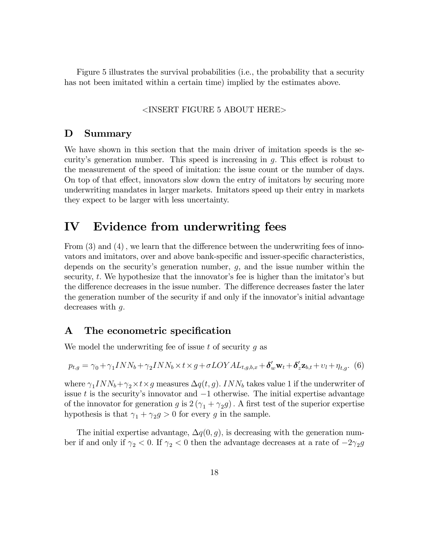Figure 5 illustrates the survival probabilities (i.e., the probability that a security has not been imitated within a certain time) implied by the estimates above.

#### <INSERT FIGURE 5 ABOUT HERE>

### D Summary

We have shown in this section that the main driver of imitation speeds is the security's generation number. This speed is increasing in  $q$ . This effect is robust to the measurement of the speed of imitation: the issue count or the number of days. On top of that effect, innovators slow down the entry of imitators by securing more underwriting mandates in larger markets. Imitators speed up their entry in markets they expect to be larger with less uncertainty.

# IV Evidence from underwriting fees

From  $(3)$  and  $(4)$ , we learn that the difference between the underwriting fees of innovators and imitators, over and above bank-specific and issuer-specific characteristics, depends on the security's generation number,  $q$ , and the issue number within the security,  $t$ . We hypothesize that the innovator's fee is higher than the imitator's but the difference decreases in the issue number. The difference decreases faster the later the generation number of the security if and only if the innovator's initial advantage decreases with  $q$ .

# A The econometric specification

We model the underwriting fee of issue t of security q as

$$
p_{t,g} = \gamma_0 + \gamma_1 INN_b + \gamma_2 INN_b \times t \times g + \sigma LOYAL_{t,g,b,x} + \delta'_w \mathbf{w}_t + \delta'_z \mathbf{z}_{b,t} + \upsilon_l + \eta_{t,g}. \tag{6}
$$

where  $\gamma_1 INN_b + \gamma_2 \times t \times g$  measures  $\Delta q(t, g)$ . INN<sub>b</sub> takes value 1 if the underwriter of issue t is the security's innovator and  $-1$  otherwise. The initial expertise advantage of the innovator for generation g is  $2(\gamma_1 + \gamma_2 g)$ . A first test of the superior expertise hypothesis is that  $\gamma_1 + \gamma_2 g > 0$  for every g in the sample.

The initial expertise advantage,  $\Delta q(0, g)$ , is decreasing with the generation number if and only if  $\gamma_2 < 0$ . If  $\gamma_2 < 0$  then the advantage decreases at a rate of  $-2\gamma_2 g$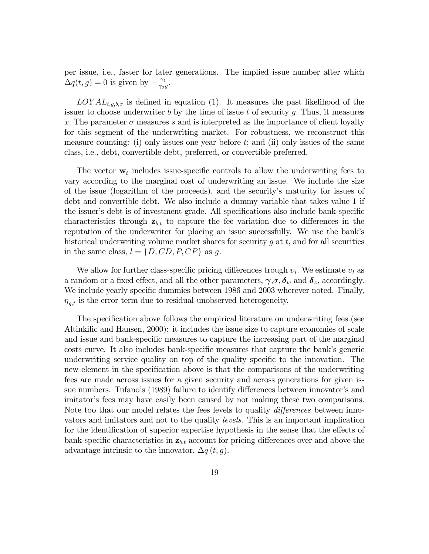per issue, i.e., faster for later generations. The implied issue number after which  $\Delta q(t, g) = 0$  is given by  $-\frac{\gamma_1}{\gamma_2 g}$  $\frac{\gamma_1}{\gamma_2 g}.$ 

 $LOYAL_{t,q,b,x}$  is defined in equation (1). It measures the past likelihood of the issuer to choose underwriter b by the time of issue t of security g. Thus, it measures x. The parameter  $\sigma$  measures s and is interpreted as the importance of client loyalty for this segment of the underwriting market. For robustness, we reconstruct this measure counting: (i) only issues one year before  $t$ ; and (ii) only issues of the same class, i.e., debt, convertible debt, preferred, or convertible preferred.

The vector  $\mathbf{w}_t$  includes issue-specific controls to allow the underwriting fees to vary according to the marginal cost of underwriting an issue. We include the size of the issue (logarithm of the proceeds), and the securityís maturity for issues of debt and convertible debt. We also include a dummy variable that takes value 1 if the issuer's debt is of investment grade. All specifications also include bank-specific characteristics through  $z_{b,t}$  to capture the fee variation due to differences in the reputation of the underwriter for placing an issue successfully. We use the bank's historical underwriting volume market shares for security  $g$  at  $t$ , and for all securities in the same class,  $l = \{D, CD, P, CP\}$  as g.

We allow for further class-specific pricing differences trough  $v_l$ . We estimate  $v_l$  as a random or a fixed effect, and all the other parameters,  $\gamma$ ,  $\sigma$ ,  $\delta_w$  and  $\delta_z$ , accordingly. We include yearly specific dummies between 1986 and 2003 wherever noted. Finally,  $\eta_{q,t}$  is the error term due to residual unobserved heterogeneity.

The specification above follows the empirical literature on underwriting fees (see Altinkilic and Hansen, 2000): it includes the issue size to capture economies of scale and issue and bank-specific measures to capture the increasing part of the marginal costs curve. It also includes bank-specific measures that capture the bank's generic underwriting service quality on top of the quality specific to the innovation. The new element in the specification above is that the comparisons of the underwriting fees are made across issues for a given security and across generations for given issue numbers. Tufano's (1989) failure to identify differences between innovator's and imitator's fees may have easily been caused by not making these two comparisons. Note too that our model relates the fees levels to quality *differences* between innovators and imitators and not to the quality levels. This is an important implication for the identification of superior expertise hypothesis in the sense that the effects of bank-specific characteristics in  $\mathbf{z}_{b,t}$  account for pricing differences over and above the advantage intrinsic to the innovator,  $\Delta q(t, g)$ .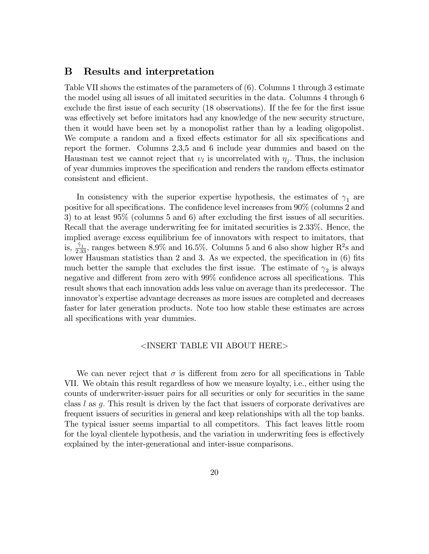### B Results and interpretation

Table VII shows the estimates of the parameters of (6): Columns 1 through 3 estimate the model using all issues of all imitated securities in the data. Columns 4 through 6 exclude the first issue of each security (18 observations). If the fee for the first issue was effectively set before imitators had any knowledge of the new security structure, then it would have been set by a monopolist rather than by a leading oligopolist. We compute a random and a fixed effects estimator for all six specifications and report the former. Columns 2,3,5 and 6 include year dummies and based on the Hausman test we cannot reject that  $v_l$  is uncorrelated with  $\eta_j$ . Thus, the inclusion of year dummies improves the specification and renders the random effects estimator consistent and efficient.

In consistency with the superior expertise hypothesis, the estimates of  $\gamma_1$  are positive for all specifications. The confidence level increases from  $90\%$  (columns 2 and 3) to at least  $95\%$  (columns 5 and 6) after excluding the first issues of all securities. Recall that the average underwriting fee for imitated securities is 2.33%. Hence, the implied average excess equilibrium fee of innovators with respect to imitators, that is,  $\frac{\hat{\gamma}_1}{2.33}$ , ranges between 8.9% and 16.5%. Columns 5 and 6 also show higher R<sup>2</sup>s and lower Hausman statistics than  $2$  and  $3$ . As we expected, the specification in  $(6)$  fits much better the sample that excludes the first issue. The estimate of  $\gamma_2$  is always negative and different from zero with  $99\%$  confidence across all specifications. This result shows that each innovation adds less value on average than its predecessor. The innovator's expertise advantage decreases as more issues are completed and decreases faster for later generation products. Note too how stable these estimates are across all specifications with year dummies.

#### <INSERT TABLE VII ABOUT HERE>

We can never reject that  $\sigma$  is different from zero for all specifications in Table VII. We obtain this result regardless of how we measure loyalty, i.e., either using the counts of underwriter-issuer pairs for all securities or only for securities in the same class  $l$  as  $g$ . This result is driven by the fact that issuers of corporate derivatives are frequent issuers of securities in general and keep relationships with all the top banks. The typical issuer seems impartial to all competitors. This fact leaves little room for the loyal clientele hypothesis, and the variation in underwriting fees is effectively explained by the inter-generational and inter-issue comparisons.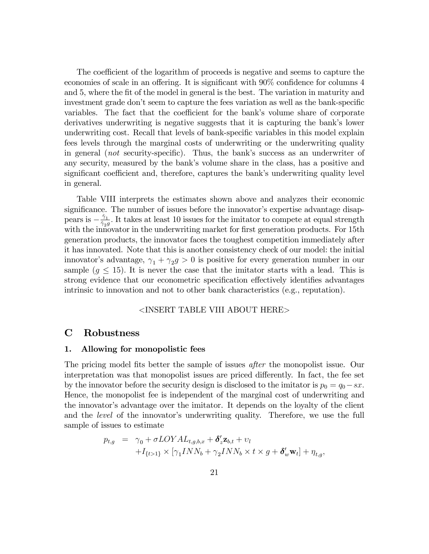The coefficient of the logarithm of proceeds is negative and seems to capture the economies of scale in an offering. It is significant with  $90\%$  confidence for columns 4 and 5, where the fit of the model in general is the best. The variation in maturity and investment grade don't seem to capture the fees variation as well as the bank-specific variables. The fact that the coefficient for the bank's volume share of corporate derivatives underwriting is negative suggests that it is capturing the bank's lower underwriting cost. Recall that levels of bank-specific variables in this model explain fees levels through the marginal costs of underwriting or the underwriting quality in general (*not* security-specific). Thus, the bank's success as an underwriter of any security, measured by the bank's volume share in the class, has a positive and significant coefficient and, therefore, captures the bank's underwriting quality level in general.

Table VIII interprets the estimates shown above and analyzes their economic significance. The number of issues before the innovator's expertise advantage disappears is  $-\frac{\hat{\gamma}_1}{\hat{\gamma}_2}$  $\frac{\gamma_1}{\gamma_2 g}$ . It takes at least 10 issues for the imitator to compete at equal strength with the innovator in the underwriting market for first generation products. For 15th generation products, the innovator faces the toughest competition immediately after it has innovated. Note that this is another consistency check of our model: the initial innovator's advantage,  $\gamma_1 + \gamma_2 g > 0$  is positive for every generation number in our sample  $(g \leq 15)$ . It is never the case that the imitator starts with a lead. This is strong evidence that our econometric specification effectively identifies advantages intrinsic to innovation and not to other bank characteristics (e.g., reputation).

#### <INSERT TABLE VIII ABOUT HERE>

#### C Robustness

#### 1. Allowing for monopolistic fees

The pricing model fits better the sample of issues *after* the monopolist issue. Our interpretation was that monopolist issues are priced differently. In fact, the fee set by the innovator before the security design is disclosed to the imitator is  $p_0 = q_0 - sx$ . Hence, the monopolist fee is independent of the marginal cost of underwriting and the innovator's advantage over the imitator. It depends on the loyalty of the client and the *level* of the innovator's underwriting quality. Therefore, we use the full sample of issues to estimate

$$
p_{t,g} = \gamma_0 + \sigma LOYAL_{t,g,b,x} + \delta'_z \mathbf{z}_{b,t} + v_l
$$
  
+ $I_{\{t>1\}} \times [\gamma_1 INN_b + \gamma_2 INN_b \times t \times g + \delta'_w \mathbf{w}_t] + \eta_{t,g},$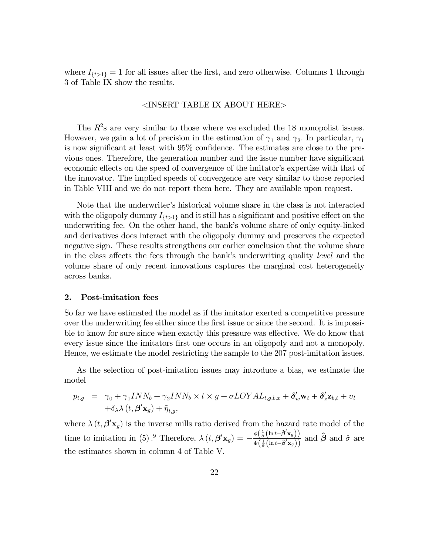where  $I_{\{t>1\}} = 1$  for all issues after the first, and zero otherwise. Columns 1 through 3 of Table IX show the results.

#### <INSERT TABLE IX ABOUT HERE>

The  $R^2$ s are very similar to those where we excluded the 18 monopolist issues. However, we gain a lot of precision in the estimation of  $\gamma_1$  and  $\gamma_2$ . In particular,  $\gamma_1$ is now significant at least with 95% confidence. The estimates are close to the previous ones. Therefore, the generation number and the issue number have significant economic effects on the speed of convergence of the imitator's expertise with that of the innovator. The implied speeds of convergence are very similar to those reported in Table VIII and we do not report them here. They are available upon request.

Note that the underwriter's historical volume share in the class is not interacted with the oligopoly dummy  $I_{\{t>1\}}$  and it still has a significant and positive effect on the underwriting fee. On the other hand, the bank's volume share of only equity-linked and derivatives does interact with the oligopoly dummy and preserves the expected negative sign. These results strengthens our earlier conclusion that the volume share in the class affects the fees through the bank's underwriting quality *level* and the volume share of only recent innovations captures the marginal cost heterogeneity across banks.

#### 2. Post-imitation fees

So far we have estimated the model as if the imitator exerted a competitive pressure over the underwriting fee either since the first issue or since the second. It is impossible to know for sure since when exactly this pressure was effective. We do know that every issue since the imitators first one occurs in an oligopoly and not a monopoly. Hence, we estimate the model restricting the sample to the 207 post-imitation issues.

As the selection of post-imitation issues may introduce a bias, we estimate the model

$$
p_{t,g} = \gamma_0 + \gamma_1 INN_b + \gamma_2 INN_b \times t \times g + \sigma LOYAL_{t,g,b,x} + \delta'_w \mathbf{w}_t + \delta'_z \mathbf{z}_{b,t} + v_l
$$
  
+  $\delta_{\lambda} \lambda (t, \beta' \mathbf{x}_g) + \tilde{\eta}_{t,g},$ 

where  $\lambda(t, \beta' \mathbf{x}_g)$  is the inverse mills ratio derived from the hazard rate model of the time to imitation in (5).<sup>9</sup> Therefore,  $\lambda(t, \beta' \mathbf{x}_g) = -\frac{\phi(\frac{1}{\hat{\sigma}}(\ln t - \hat{\beta}' \mathbf{x}_g))}{\Phi(\frac{1}{\hat{\sigma}}(\ln t - \hat{\beta}' \mathbf{x}_g))}$  $\frac{\phi(\frac{1}{\hat{\sigma}}(\ln t - \hat{\beta} \mathbf{x}_g))}{\Phi(\frac{1}{\hat{\sigma}}(\ln t - \hat{\beta}' \mathbf{x}_g))}$  and  $\hat{\boldsymbol{\beta}}$  and  $\hat{\sigma}$  are the estimates shown in column 4 of Table V.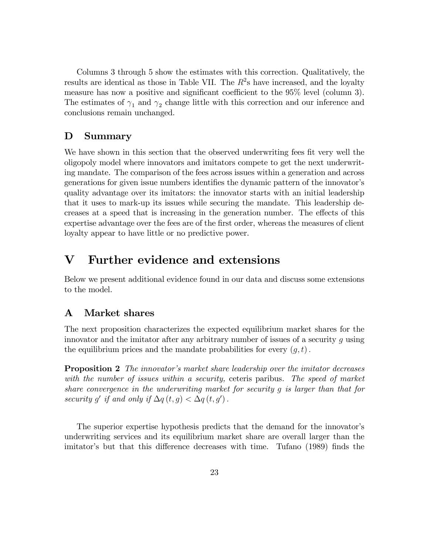Columns 3 through 5 show the estimates with this correction. Qualitatively, the results are identical as those in Table VII. The  $R^2$ s have increased, and the loyalty measure has now a positive and significant coefficient to the  $95\%$  level (column 3). The estimates of  $\gamma_1$  and  $\gamma_2$  change little with this correction and our inference and conclusions remain unchanged.

# D Summary

We have shown in this section that the observed underwriting fees fit very well the oligopoly model where innovators and imitators compete to get the next underwriting mandate. The comparison of the fees across issues within a generation and across generations for given issue numbers identifies the dynamic pattern of the innovator's quality advantage over its imitators: the innovator starts with an initial leadership that it uses to mark-up its issues while securing the mandate. This leadership decreases at a speed that is increasing in the generation number. The effects of this expertise advantage over the fees are of the first order, whereas the measures of client loyalty appear to have little or no predictive power.

# V Further evidence and extensions

Below we present additional evidence found in our data and discuss some extensions to the model.

# A Market shares

The next proposition characterizes the expected equilibrium market shares for the innovator and the imitator after any arbitrary number of issues of a security g using the equilibrium prices and the mandate probabilities for every  $(g, t)$ .

**Proposition 2** The innovator's market share leadership over the imitator decreases with the number of issues within a security, ceteris paribus. The speed of market share convergence in the underwriting market for security g is larger than that for security g' if and only if  $\Delta q(t,g) < \Delta q(t,g')$ .

The superior expertise hypothesis predicts that the demand for the innovator's underwriting services and its equilibrium market share are overall larger than the imitator's but that this difference decreases with time. Tufano (1989) finds the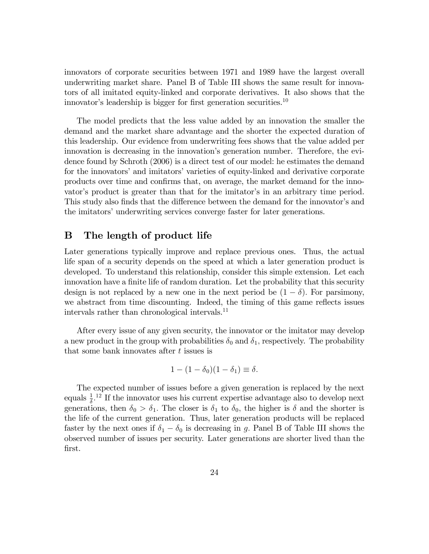innovators of corporate securities between 1971 and 1989 have the largest overall underwriting market share. Panel B of Table III shows the same result for innovators of all imitated equity-linked and corporate derivatives. It also shows that the innovator's leadership is bigger for first generation securities.<sup>10</sup>

The model predicts that the less value added by an innovation the smaller the demand and the market share advantage and the shorter the expected duration of this leadership. Our evidence from underwriting fees shows that the value added per innovation is decreasing in the innovation's generation number. Therefore, the evidence found by Schroth (2006) is a direct test of our model: he estimates the demand for the innovators' and imitators' varieties of equity-linked and derivative corporate products over time and confirms that, on average, the market demand for the innovator's product is greater than that for the imitator's in an arbitrary time period. This study also finds that the difference between the demand for the innovator's and the imitators' underwriting services converge faster for later generations.

# B The length of product life

Later generations typically improve and replace previous ones. Thus, the actual life span of a security depends on the speed at which a later generation product is developed. To understand this relationship, consider this simple extension. Let each innovation have a finite life of random duration. Let the probability that this security design is not replaced by a new one in the next period be  $(1 - \delta)$ . For parsimony, we abstract from time discounting. Indeed, the timing of this game reflects issues intervals rather than chronological intervals.<sup>11</sup>

After every issue of any given security, the innovator or the imitator may develop a new product in the group with probabilities  $\delta_0$  and  $\delta_1$ , respectively. The probability that some bank innovates after t issues is

$$
1 - (1 - \delta_0)(1 - \delta_1) \equiv \delta.
$$

The expected number of issues before a given generation is replaced by the next equals  $\frac{1}{\delta}$ .<sup>12</sup> If the innovator uses his current expertise advantage also to develop next generations, then  $\delta_0 > \delta_1$ . The closer is  $\delta_1$  to  $\delta_0$ , the higher is  $\delta$  and the shorter is the life of the current generation. Thus, later generation products will be replaced faster by the next ones if  $\delta_1 - \delta_0$  is decreasing in g. Panel B of Table III shows the observed number of issues per security. Later generations are shorter lived than the first.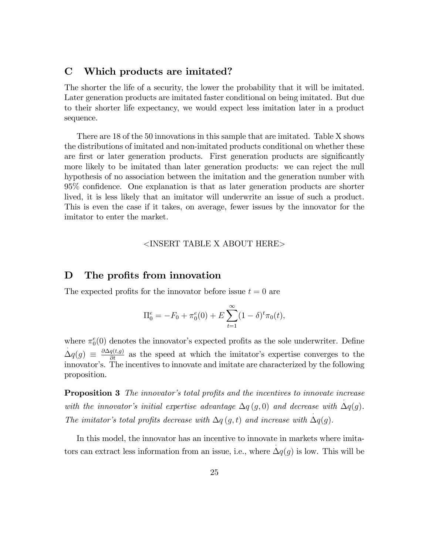## C Which products are imitated?

The shorter the life of a security, the lower the probability that it will be imitated. Later generation products are imitated faster conditional on being imitated. But due to their shorter life expectancy, we would expect less imitation later in a product sequence.

There are 18 of the 50 innovations in this sample that are imitated. Table X shows the distributions of imitated and non-imitated products conditional on whether these are first or later generation products. First generation products are significantly more likely to be imitated than later generation products: we can reject the null hypothesis of no association between the imitation and the generation number with 95% confidence. One explanation is that as later generation products are shorter lived, it is less likely that an imitator will underwrite an issue of such a product. This is even the case if it takes, on average, fewer issues by the innovator for the imitator to enter the market.

#### <INSERT TABLE X ABOUT HERE>

### D The profits from innovation

The expected profits for the innovator before issue  $t = 0$  are

$$
\Pi_0^e = -F_0 + \pi_0^e(0) + E \sum_{t=1}^{\infty} (1 - \delta)^t \pi_0(t),
$$

where  $\pi_0^e(0)$  denotes the innovator's expected profits as the sole underwriter. Define  $\Delta q(g) \equiv \frac{\partial \Delta q(t,g)}{\partial t}$  as the speed at which the imitator's expertise converges to the innovator's. The incentives to innovate and imitate are characterized by the following proposition.

**Proposition 3** The innovator's total profits and the incentives to innovate increase with the innovator's initial expertise advantage  $\Delta q(g, 0)$  and decrease with  $\Delta q(g)$ . The imitator's total profits decrease with  $\Delta q(g, t)$  and increase with  $\Delta q(g)$ .

In this model, the innovator has an incentive to innovate in markets where imitators can extract less information from an issue, i.e., where  $\Delta q(g)$  is low. This will be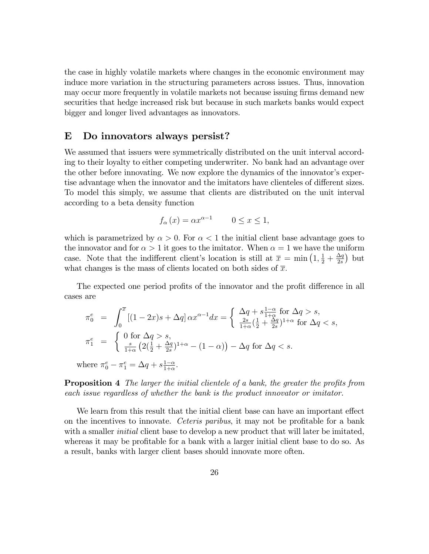the case in highly volatile markets where changes in the economic environment may induce more variation in the structuring parameters across issues. Thus, innovation may occur more frequently in volatile markets not because issuing firms demand new securities that hedge increased risk but because in such markets banks would expect bigger and longer lived advantages as innovators.

## E Do innovators always persist?

We assumed that issuers were symmetrically distributed on the unit interval according to their loyalty to either competing underwriter. No bank had an advantage over the other before innovating. We now explore the dynamics of the innovator's expertise advantage when the innovator and the imitators have clienteles of different sizes. To model this simply, we assume that clients are distributed on the unit interval according to a beta density function

$$
f_{\alpha}(x) = \alpha x^{\alpha - 1} \qquad 0 \le x \le 1,
$$

which is parametrized by  $\alpha > 0$ . For  $\alpha < 1$  the initial client base advantage goes to the innovator and for  $\alpha > 1$  it goes to the imitator. When  $\alpha = 1$  we have the uniform case. Note that the indifferent client's location is still at  $\bar{x} = \min\left(1, \frac{1}{2} + \frac{\Delta q}{2s}\right)$  $\frac{\Delta q}{2s}$ ) but what changes is the mass of clients located on both sides of  $\overline{x}$ .

The expected one period profits of the innovator and the profit difference in all cases are

$$
\pi_0^e = \int_0^{\overline{x}} \left[ (1 - 2x)s + \Delta q \right] \alpha x^{\alpha - 1} dx = \begin{cases} \frac{\Delta q + s \frac{1 - \alpha}{1 + \alpha}}{1 + \alpha} & \text{for } \Delta q > s, \\ \frac{2s}{1 + \alpha} \left( \frac{1}{2} + \frac{\Delta q}{2s} \right)^{1 + \alpha} & \text{for } \Delta q < s, \end{cases}
$$
\n
$$
\pi_1^e = \begin{cases} 0 & \text{for } \Delta q > s, \\ \frac{s}{1 + \alpha} \left( 2\left( \frac{1}{2} + \frac{\Delta q}{2s} \right)^{1 + \alpha} - (1 - \alpha) \right) - \Delta q & \text{for } \Delta q < s. \end{cases}
$$

where  $\pi_0^e - \pi_1^e = \Delta q + s \frac{1-\alpha}{1+\alpha}$ .

**Proposition 4** The larger the initial clientele of a bank, the greater the profits from each issue regardless of whether the bank is the product innovator or imitator.

We learn from this result that the initial client base can have an important effect on the incentives to innovate. Ceteris paribus, it may not be profitable for a bank with a smaller *initial* client base to develop a new product that will later be imitated, whereas it may be profitable for a bank with a larger initial client base to do so. As a result, banks with larger client bases should innovate more often.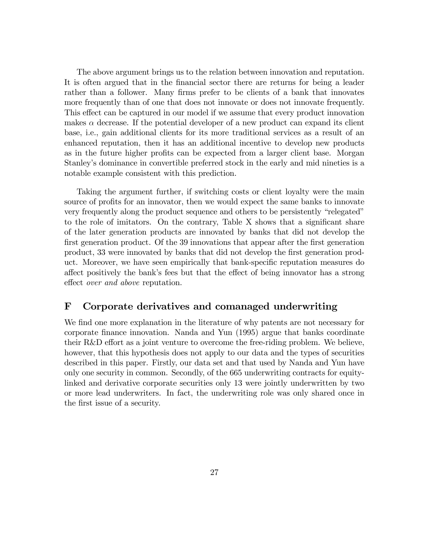The above argument brings us to the relation between innovation and reputation. It is often argued that in the Önancial sector there are returns for being a leader rather than a follower. Many firms prefer to be clients of a bank that innovates more frequently than of one that does not innovate or does not innovate frequently. This effect can be captured in our model if we assume that every product innovation makes  $\alpha$  decrease. If the potential developer of a new product can expand its client base, i.e., gain additional clients for its more traditional services as a result of an enhanced reputation, then it has an additional incentive to develop new products as in the future higher profits can be expected from a larger client base. Morgan Stanley's dominance in convertible preferred stock in the early and mid nineties is a notable example consistent with this prediction.

Taking the argument further, if switching costs or client loyalty were the main source of profits for an innovator, then we would expect the same banks to innovate very frequently along the product sequence and others to be persistently "relegated" to the role of imitators. On the contrary, Table X shows that a significant share of the later generation products are innovated by banks that did not develop the first generation product. Of the 39 innovations that appear after the first generation product, 33 were innovated by banks that did not develop the Örst generation product. Moreover, we have seen empirically that bank-specific reputation measures do affect positively the bank's fees but that the effect of being innovator has a strong effect over and above reputation.

# F Corporate derivatives and comanaged underwriting

We find one more explanation in the literature of why patents are not necessary for corporate Önance innovation. Nanda and Yun (1995) argue that banks coordinate their  $R&D$  effort as a joint venture to overcome the free-riding problem. We believe, however, that this hypothesis does not apply to our data and the types of securities described in this paper. Firstly, our data set and that used by Nanda and Yun have only one security in common. Secondly, of the 665 underwriting contracts for equitylinked and derivative corporate securities only 13 were jointly underwritten by two or more lead underwriters. In fact, the underwriting role was only shared once in the first issue of a security.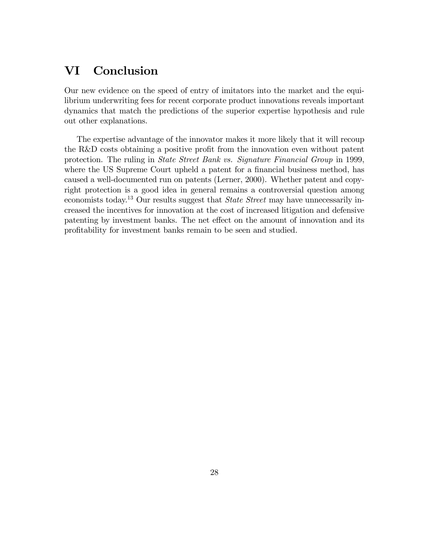# VI Conclusion

Our new evidence on the speed of entry of imitators into the market and the equilibrium underwriting fees for recent corporate product innovations reveals important dynamics that match the predictions of the superior expertise hypothesis and rule out other explanations.

The expertise advantage of the innovator makes it more likely that it will recoup the R&D costs obtaining a positive profit from the innovation even without patent protection. The ruling in State Street Bank vs. Signature Financial Group in 1999, where the US Supreme Court upheld a patent for a financial business method, has caused a well-documented run on patents (Lerner, 2000). Whether patent and copyright protection is a good idea in general remains a controversial question among economists today.<sup>13</sup> Our results suggest that *State Street* may have unnecessarily increased the incentives for innovation at the cost of increased litigation and defensive patenting by investment banks. The net effect on the amount of innovation and its profitability for investment banks remain to be seen and studied.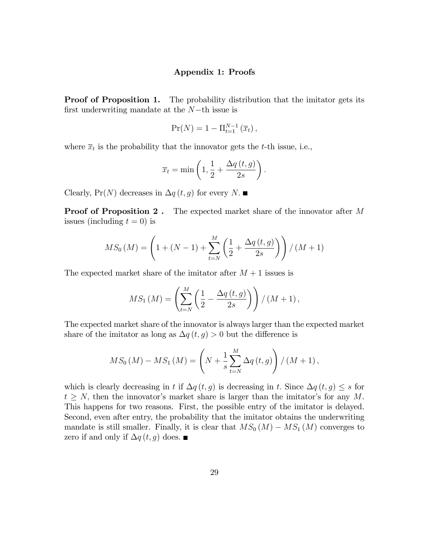#### Appendix 1: Proofs

**Proof of Proposition 1.** The probability distribution that the imitator gets its first underwriting mandate at the  $N$ -th issue is

$$
\Pr(N) = 1 - \Pi_{t=1}^{N-1}(\overline{x}_t),
$$

where  $\overline{x}_t$  is the probability that the innovator gets the t-th issue, i.e.,

$$
\overline{x}_t = \min\left(1, \frac{1}{2} + \frac{\Delta q(t, g)}{2s}\right).
$$

Clearly,  $Pr(N)$  decreases in  $\Delta q(t, g)$  for every N.

**Proof of Proposition 2.** The expected market share of the innovator after M issues (including  $t = 0$ ) is

$$
MS_0(M) = \left(1 + (N - 1) + \sum_{t=N}^{M} \left(\frac{1}{2} + \frac{\Delta q(t, g)}{2s}\right)\right) / (M + 1)
$$

The expected market share of the imitator after  $M + 1$  issues is

$$
MS_1(M) = \left(\sum_{t=N}^{M} \left(\frac{1}{2} - \frac{\Delta q(t,g)}{2s}\right)\right) / (M+1),
$$

The expected market share of the innovator is always larger than the expected market share of the imitator as long as  $\Delta q(t, g) > 0$  but the difference is

$$
MS_0(M) - MS_1(M) = \left(N + \frac{1}{s} \sum_{t=N}^{M} \Delta q(t, g)\right) / (M + 1),
$$

which is clearly decreasing in t if  $\Delta q(t, g)$  is decreasing in t. Since  $\Delta q(t, g) \leq s$  for  $t > N$ , then the innovator's market share is larger than the imitator's for any M. This happens for two reasons. First, the possible entry of the imitator is delayed. Second, even after entry, the probability that the imitator obtains the underwriting mandate is still smaller. Finally, it is clear that  $MS_0(M) - MS_1(M)$  converges to zero if and only if  $\Delta q(t, g)$  does.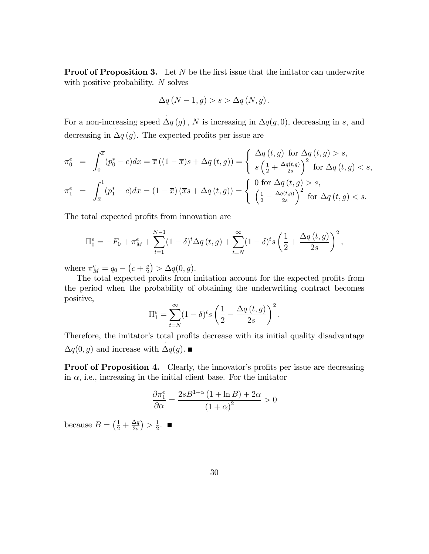**Proof of Proposition 3.** Let  $N$  be the first issue that the imitator can underwrite with positive probability.  $N$  solves

$$
\Delta q\left(N-1,g\right) > s > \Delta q\left(N,g\right).
$$

For a non-increasing speed  $\Delta q(g)$ , N is increasing in  $\Delta q(g, 0)$ , decreasing in s, and decreasing in  $\Delta q(g)$ . The expected profits per issue are

$$
\pi_0^e = \int_0^{\overline{x}} (p_0^* - c) dx = \overline{x} ((1 - \overline{x})s + \Delta q(t, g)) = \begin{cases} \Delta q(t, g) \text{ for } \Delta q(t, g) > s, \\ s \left(\frac{1}{2} + \frac{\Delta q(t, g)}{2s}\right)^2 \text{ for } \Delta q(t, g) < s, \end{cases}
$$

$$
\pi_1^e = \int_{\overline{x}}^1 (p_1^* - c) dx = (1 - \overline{x}) (\overline{x}s + \Delta q(t, g)) = \begin{cases} 0 \text{ for } \Delta q(t, g) > s, \\ \left(\frac{1}{2} - \frac{\Delta q(t, g)}{2s}\right)^2 \text{ for } \Delta q(t, g) < s. \end{cases}
$$

The total expected profits from innovation are

$$
\Pi_0^e = -F_0 + \pi_M^e + \sum_{t=1}^{N-1} (1 - \delta)^t \Delta q(t, g) + \sum_{t=N}^{\infty} (1 - \delta)^t s \left(\frac{1}{2} + \frac{\Delta q(t, g)}{2s}\right)^2,
$$

where  $\pi_M^e = q_0 - (c + \frac{s}{2})$  $\frac{s}{2}$ ) >  $\Delta q(0, g)$ .

The total expected profits from imitation account for the expected profits from the period when the probability of obtaining the underwriting contract becomes positive,

$$
\Pi_1^e = \sum_{t=N}^{\infty} (1-\delta)^t s \left(\frac{1}{2} - \frac{\Delta q(t,g)}{2s}\right)^2.
$$

Therefore, the imitator's total profits decrease with its initial quality disadvantage  $\Delta q(0, g)$  and increase with  $\Delta q(g)$ .

**Proof of Proposition 4.** Clearly, the innovator's profits per issue are decreasing in  $\alpha$ , i.e., increasing in the initial client base. For the imitator

$$
\frac{\partial \pi_1^e}{\partial \alpha} = \frac{2sB^{1+\alpha} \left(1 + \ln B\right) + 2\alpha}{\left(1 + \alpha\right)^2} > 0
$$

because  $B = \left(\frac{1}{2} + \frac{\Delta q}{2s}\right)$  $\frac{\Delta q}{2s}\big) > \frac{1}{2}$  $\frac{1}{2}$ .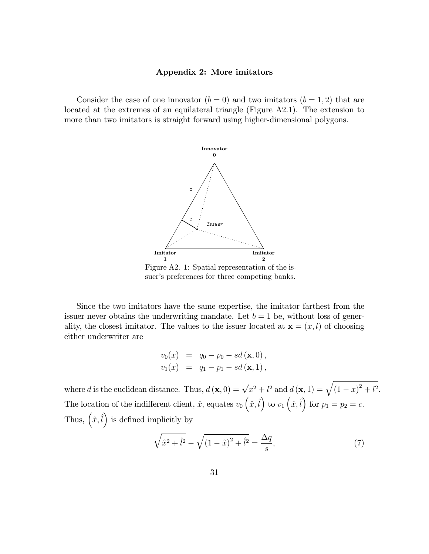#### Appendix 2: More imitators

Consider the case of one innovator  $(b = 0)$  and two imitators  $(b = 1, 2)$  that are located at the extremes of an equilateral triangle (Figure A2.1). The extension to more than two imitators is straight forward using higher-dimensional polygons.



Figure A2. 1: Spatial representation of the issuer's preferences for three competing banks.

Since the two imitators have the same expertise, the imitator farthest from the issuer never obtains the underwriting mandate. Let  $b = 1$  be, without loss of generality, the closest imitator. The values to the issuer located at  $\mathbf{x} = (x, l)$  of choosing either underwriter are

$$
v_0(x) = q_0 - p_0 - sd(\mathbf{x}, 0),
$$
  
\n $v_1(x) = q_1 - p_1 - sd(\mathbf{x}, 1),$ 

where d is the euclidean distance. Thus,  $d(\mathbf{x},0) = \sqrt{x^2 + l^2}$  and  $d(\mathbf{x},1) = \sqrt{(1-x)^2 + l^2}$ . The location of the indifferent client,  $\hat{x}$ , equates  $v_0\left(\hat{x}, \hat{l}\right)$  to  $v_1\left(\hat{x}, \hat{l}\right)$  for  $p_1 = p_2 = c$ . Thus,  $(\hat{x}, \hat{l})$  is defined implicitly by

$$
\sqrt{\hat{x}^2 + \hat{l}^2} - \sqrt{(1 - \hat{x})^2 + \hat{l}^2} = \frac{\Delta q}{s},\tag{7}
$$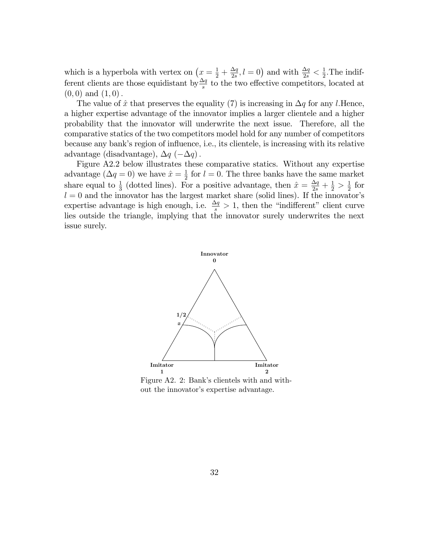which is a hyperbola with vertex on  $\left(x = \frac{1}{2} + \frac{\Delta q}{2s}\right)$  $\frac{\Delta q}{2s}$ ,  $l = 0$ ) and with  $\frac{\Delta q}{2s} < \frac{1}{2}$  $\frac{1}{2}$ . The indifferent clients are those equidistant by  $\frac{\Delta q}{s}$  to the two effective competitors, located at  $(0, 0)$  and  $(1, 0)$ .

The value of  $\hat{x}$  that preserves the equality (7) is increasing in  $\Delta q$  for any l.Hence, a higher expertise advantage of the innovator implies a larger clientele and a higher probability that the innovator will underwrite the next issue. Therefore, all the comparative statics of the two competitors model hold for any number of competitors because any bank's region of influence, i.e., its clientele, is increasing with its relative advantage (disadvantage),  $\Delta q$  ( $-\Delta q$ ).

Figure A2.2 below illustrates these comparative statics. Without any expertise advantage  $(\Delta q = 0)$  we have  $\hat{x} = \frac{1}{2}$  $\frac{1}{2}$  for  $l = 0$ . The three banks have the same market share equal to  $\frac{1}{3}$  (dotted lines). For a positive advantage, then  $\hat{x} = \frac{\Delta q}{2s} + \frac{1}{2} > \frac{1}{2}$  $rac{1}{2}$  for  $l = 0$  and the innovator has the largest market share (solid lines). If the innovator's expertise advantage is high enough, i.e.  $\frac{\Delta q}{s} > 1$ , then the "indifferent" client curve lies outside the triangle, implying that the innovator surely underwrites the next issue surely.



Figure A2. 2: Bank's clientels with and without the innovator's expertise advantage.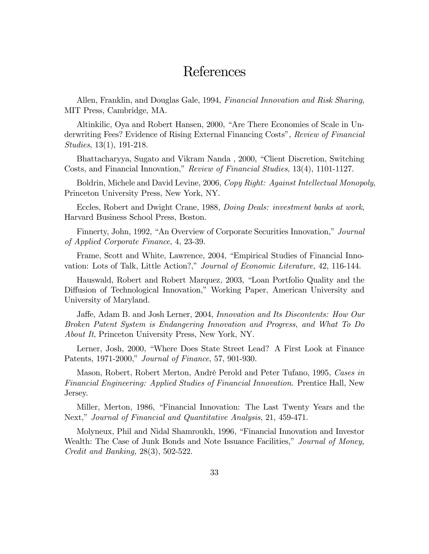# References

Allen, Franklin, and Douglas Gale, 1994, Financial Innovation and Risk Sharing, MIT Press, Cambridge, MA.

Altinkilic, Oya and Robert Hansen, 2000, "Are There Economies of Scale in Underwriting Fees? Evidence of Rising External Financing Costs", Review of Financial Studies, 13(1), 191-218.

Bhattacharyya, Sugato and Vikram Nanda, 2000, "Client Discretion, Switching Costs, and Financial Innovation," Review of Financial Studies, 13(4), 1101-1127.

Boldrin, Michele and David Levine, 2006, Copy Right: Against Intellectual Monopoly, Princeton University Press, New York, NY.

Eccles, Robert and Dwight Crane, 1988, Doing Deals: investment banks at work, Harvard Business School Press, Boston.

Finnerty, John, 1992, "An Overview of Corporate Securities Innovation," Journal of Applied Corporate Finance, 4, 23-39.

Frame, Scott and White, Lawrence, 2004, "Empirical Studies of Financial Innovation: Lots of Talk, Little Action?," Journal of Economic Literature, 42, 116-144.

Hauswald, Robert and Robert Marquez, 2003, "Loan Portfolio Quality and the Diffusion of Technological Innovation," Working Paper, American University and University of Maryland.

Jaffe, Adam B. and Josh Lerner, 2004, Innovation and Its Discontents: How Our Broken Patent System is Endangering Innovation and Progress, and What To Do About It, Princeton University Press, New York, NY.

Lerner, Josh, 2000, "Where Does State Street Lead? A First Look at Finance Patents, 1971-2000," *Journal of Finance*, 57, 901-930.

Mason, Robert, Robert Merton, André Perold and Peter Tufano, 1995, Cases in Financial Engineering: Applied Studies of Financial Innovation. Prentice Hall, New Jersey.

Miller, Merton, 1986, "Financial Innovation: The Last Twenty Years and the Next," Journal of Financial and Quantitative Analysis, 21, 459-471.

Molyneux, Phil and Nidal Shamroukh, 1996, "Financial Innovation and Investor Wealth: The Case of Junk Bonds and Note Issuance Facilities," Journal of Money, Credit and Banking, 28(3), 502-522.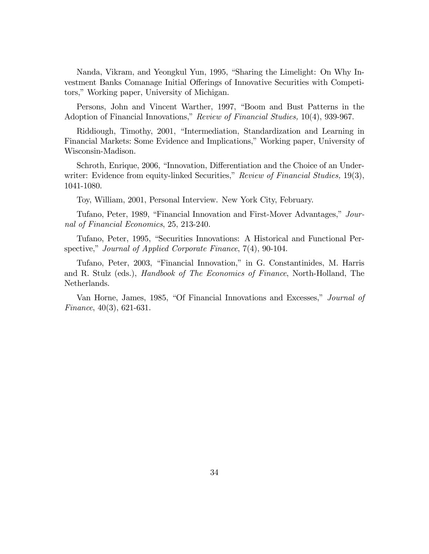Nanda, Vikram, and Yeongkul Yun, 1995, "Sharing the Limelight: On Why Investment Banks Comanage Initial Offerings of Innovative Securities with Competitors," Working paper, University of Michigan.

Persons, John and Vincent Warther, 1997, "Boom and Bust Patterns in the Adoption of Financial Innovations," Review of Financial Studies, 10(4), 939-967.

Riddiough, Timothy, 2001, "Intermediation, Standardization and Learning in Financial Markets: Some Evidence and Implications," Working paper, University of Wisconsin-Madison.

Schroth, Enrique, 2006, "Innovation, Differentiation and the Choice of an Underwriter: Evidence from equity-linked Securities,"  $Review of Financial Studies, 19(3),$ 1041-1080.

Toy, William, 2001, Personal Interview. New York City, February.

Tufano, Peter, 1989, "Financial Innovation and First-Mover Advantages," Journal of Financial Economics, 25, 213-240.

Tufano, Peter, 1995, "Securities Innovations: A Historical and Functional Perspective," Journal of Applied Corporate Finance,  $7(4)$ , 90-104.

Tufano, Peter, 2003, "Financial Innovation," in G. Constantinides, M. Harris and R. Stulz (eds.), Handbook of The Economics of Finance, North-Holland, The Netherlands.

Van Horne, James, 1985, "Of Financial Innovations and Excesses," *Journal of* Finance, 40(3), 621-631.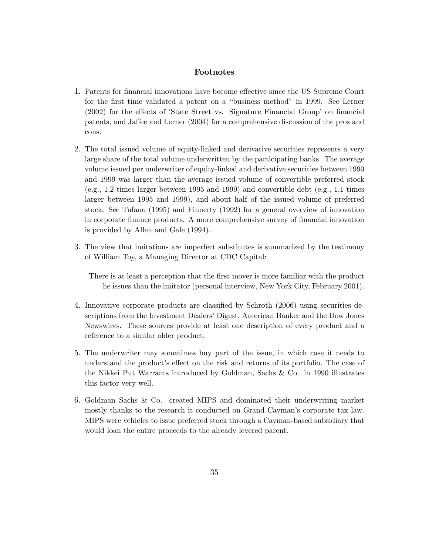#### Footnotes

- 1. Patents for financial innovations have become effective since the US Supreme Court for the first time validated a patent on a "business method" in 1999. See Lerner  $(2002)$  for the effects of 'State Street vs. Signature Financial Group' on financial patents, and Jaffee and Lerner (2004) for a comprehensive discussion of the pros and cons.
- 2. The total issued volume of equity-linked and derivative securities represents a very large share of the total volume underwritten by the participating banks. The average volume issued per underwriter of equity-linked and derivative securities between 1990 and 1999 was larger than the average issued volume of convertible preferred stock (e.g., 1.2 times larger between 1995 and 1999) and convertible debt (e.g., 1.1 times larger between 1995 and 1999), and about half of the issued volume of preferred stock. See Tufano (1995) and Finnerty (1992) for a general overview of innovation in corporate Önance products. A more comprehensive survey of Önancial innovation is provided by Allen and Gale (1994).
- 3. The view that imitations are imperfect substitutes is summarized by the testimony of William Toy, a Managing Director at CDC Capital:

There is at least a perception that the first mover is more familiar with the product he issues than the imitator (personal interview, New York City, February 2001).

- 4. Innovative corporate products are classified by Schroth (2006) using securities descriptions from the Investment Dealers' Digest, American Banker and the Dow Jones Newswires. These sources provide at least one description of every product and a reference to a similar older product.
- 5. The underwriter may sometimes buy part of the issue, in which case it needs to understand the product's effect on the risk and returns of its portfolio. The case of the Nikkei Put Warrants introduced by Goldman, Sachs & Co. in 1990 illustrates this factor very well.
- 6. Goldman Sachs & Co. created MIPS and dominated their underwriting market mostly thanks to the research it conducted on Grand Cayman's corporate tax law. MIPS were vehicles to issue preferred stock through a Cayman-based subsidiary that would loan the entire proceeds to the already levered parent.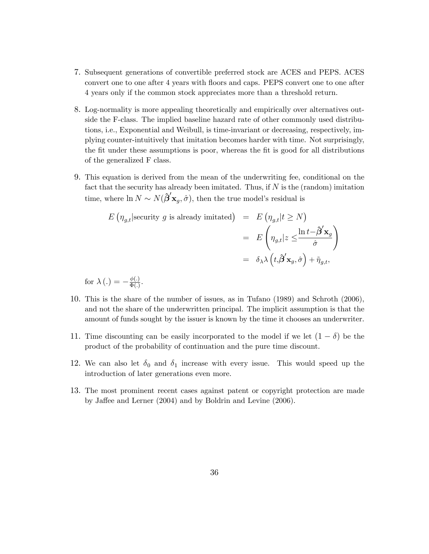- 7. Subsequent generations of convertible preferred stock are ACES and PEPS. ACES convert one to one after 4 years with floors and caps. PEPS convert one to one after 4 years only if the common stock appreciates more than a threshold return.
- 8. Log-normality is more appealing theoretically and empirically over alternatives outside the F-class. The implied baseline hazard rate of other commonly used distributions, i.e., Exponential and Weibull, is time-invariant or decreasing, respectively, implying counter-intuitively that imitation becomes harder with time. Not surprisingly, the fit under these assumptions is poor, whereas the fit is good for all distributions of the generalized F class.
- 9. This equation is derived from the mean of the underwriting fee, conditional on the fact that the security has already been imitated. Thus, if  $N$  is the (random) imitation time, where  $\ln N \sim N(\hat{\boldsymbol{\beta}}' \mathbf{x}_{g}, \hat{\sigma})$ , then the true model's residual is

$$
E\left(\eta_{g,t} | \text{security } g \text{ is already imitated}\right) = E\left(\eta_{g,t} | t \ge N\right)
$$

$$
= E\left(\eta_{g,t} | z \le \frac{\ln t - \hat{\beta}' \mathbf{x}_g}{\hat{\sigma}}\right)
$$

$$
= \delta_{\lambda} \lambda \left(t, \hat{\beta}' \mathbf{x}_g, \hat{\sigma}\right) + \tilde{\eta}_{g,t},
$$

for  $\lambda(.) = -\frac{\phi(.)}{\Phi(.)}$  $\frac{\phi(.)}{\Phi(.)}$ .

- 10. This is the share of the number of issues, as in Tufano (1989) and Schroth (2006), and not the share of the underwritten principal. The implicit assumption is that the amount of funds sought by the issuer is known by the time it chooses an underwriter.
- 11. Time discounting can be easily incorporated to the model if we let  $(1 \delta)$  be the product of the probability of continuation and the pure time discount.
- 12. We can also let  $\delta_0$  and  $\delta_1$  increase with every issue. This would speed up the introduction of later generations even more.
- 13. The most prominent recent cases against patent or copyright protection are made by Jaffee and Lerner (2004) and by Boldrin and Levine (2006).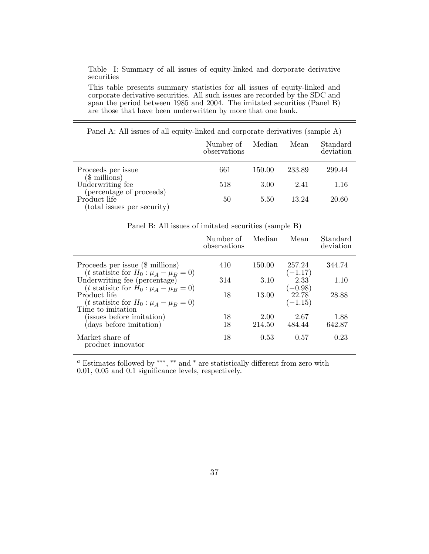Table I: Summary of all issues of equity-linked and dorporate derivative securities

This table presents summary statistics for all issues of equity-linked and corporate derivative securities. All such issues are recorded by the SDC and span the period between 1985 and 2004. The imitated securities (Panel B) are those that have been underwritten by more that one bank.

|                                              | Number of<br>observations | Median | Mean   | Standard<br>deviation |
|----------------------------------------------|---------------------------|--------|--------|-----------------------|
| Proceeds per issue<br>$($$ millions)         | 661                       | 150.00 | 233.89 | 299.44                |
| Underwriting fee<br>(percentage of proceeds) | 518                       | 3.00   | 2.41   | 1.16                  |
| Product life<br>(total issues per security)  | 50                        | 5.50   | 13.24  | 20.60                 |

Panel A: All issues of all equity-linked and corporate derivatives (sample A)

|                                                                                                                                                 | Number of<br>observations | Median         | Mean                            | Standard<br>deviation |
|-------------------------------------------------------------------------------------------------------------------------------------------------|---------------------------|----------------|---------------------------------|-----------------------|
| Proceeds per issue (\$ millions)                                                                                                                | 410                       | 150.00         | 257.24<br>$(-1.17)$             | 344.74                |
| ( <i>t</i> statisite for $H_0: \mu_A - \mu_B = 0$ )<br>Underwriting fee (percentage)                                                            | 314                       | 3.10           | 2.33                            | 1.10                  |
| ( <i>t</i> statisite for $H_0: \mu_A - \mu_B = 0$ )<br>Product life<br>( <i>t</i> statistic for $H_0: \mu_A - \mu_B = 0$ )<br>Time to imitation | 18                        | 13.00          | $(-0.98)$<br>22.78<br>$(-1.15)$ | 28.88                 |
| (issues before imitation)<br>(days before imitation)                                                                                            | 18<br>18                  | 2.00<br>214.50 | 2.67<br>484.44                  | 1.88<br>642.87        |
| Market share of<br>product innovator                                                                                                            | 18                        | 0.53           | 0.57                            | 0.23                  |

Panel B: All issues of imitated securities (sample B)

 $a$  Estimates followed by \*\*\*, \*\* and \* are statistically different from zero with 0.01, 0.05 and 0.1 significance levels, respectively.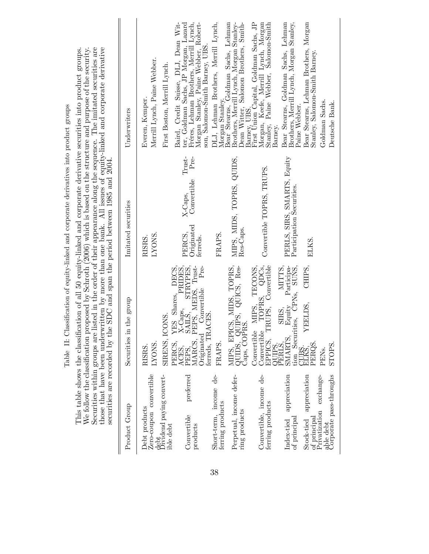|                                               |           | those that have been underwritten by more than one bank. All issues of equity-linked and corporate derivative<br>We follow the classification proposed by Schroth $(2006)$ which is based on the structure and purpose of the security.<br>This table shows the classification of all 50 equity-linked and corporate derivative securities into product groups.<br>securities are recorded by the SDC and span the period between 1985 and 2004.<br>Securities within groups are l |                                                                              | listed in the order of their appearance along the sequence. The imitated securities are                                                                           |
|-----------------------------------------------|-----------|------------------------------------------------------------------------------------------------------------------------------------------------------------------------------------------------------------------------------------------------------------------------------------------------------------------------------------------------------------------------------------------------------------------------------------------------------------------------------------|------------------------------------------------------------------------------|-------------------------------------------------------------------------------------------------------------------------------------------------------------------|
| Product Group                                 |           | Securities in the group                                                                                                                                                                                                                                                                                                                                                                                                                                                            | Imitated securities                                                          | Underwriters                                                                                                                                                      |
| Zero-coupon convertible<br>Debt products      |           | LYONS.<br>RISRS.                                                                                                                                                                                                                                                                                                                                                                                                                                                                   | LYONS.<br>RISRS.                                                             | Merrill Lynch, Paine Webber.<br>Everen, Kemper.                                                                                                                   |
| debt<br>Dividend paying convert-<br>ible debt |           | SIRENS, ICONS.                                                                                                                                                                                                                                                                                                                                                                                                                                                                     |                                                                              | First Boston, Merrill Lynch.                                                                                                                                      |
| Convertible<br>products                       | preferred | PEPS, MEDS, Trust-<br>AILS, STRYPES,<br>Convertible Pre-<br>K-Caps, PRIDES,<br>PERCS, YES Shares, DECS,<br>moinated<br>MARCS.<br>ACES,<br>PEPS.                                                                                                                                                                                                                                                                                                                                    | Trust-<br>Pre-<br>Convertible<br>X-Caps,<br>Originated<br>PERCS,<br>ferreds. | Baird, Credit Suisse, DLJ, Dean Wit-<br>Morgan Stanley, Paine Webber, Robert-<br>ter, Goldman Sachs, JP Morgan, Lazard<br>Fréres, Lehman Brothers, Merrill Lynch, |

Table II: Classification of equity-linked and corporate derivatives into product groups

Table II: Classification of equity-linked and corporate derivatives into product groups

|                                                                       | $\frac{1}{2}$                                                                                                                                                                                                                                                                                               |                                                                              |                                                                                                                                                                                                       |
|-----------------------------------------------------------------------|-------------------------------------------------------------------------------------------------------------------------------------------------------------------------------------------------------------------------------------------------------------------------------------------------------------|------------------------------------------------------------------------------|-------------------------------------------------------------------------------------------------------------------------------------------------------------------------------------------------------|
| Zero-coupon convertible<br>Debt products                              | <b>LYONS</b><br>RISRS.                                                                                                                                                                                                                                                                                      | LYONS.<br>RISRS.                                                             | Merrill Lynch, Paine Webber.<br>Everen, Kemper.                                                                                                                                                       |
| debt<br>Dividend paying convert-<br>ible debt                         | SIRENS, ICONS.                                                                                                                                                                                                                                                                                              |                                                                              | First Boston, Merrill Lynch.                                                                                                                                                                          |
| preferred<br>Convertible<br>products                                  | YES Shares, DECS,<br>$\begin{array}{ll} \text{X-Caps}, & \text{PRIDES}, \\ \text{SAILS}, & \text{STRYPES}, \\ \text{PEPS}, & \text{MEDS}, \\ \text{PEPS}, & \text{MEDS}, \\ \text{Couvertible} & \text{Pre-} \\ \end{array}$<br>ferreds, TRACES.<br><b>Originated</b><br>MARCS,<br>PERCS,<br>ACES,<br>PEPS, | Trust-<br>Pre-<br>Convertible<br>X-Caps,<br>Originated<br>PERCS,<br>ferreds. | Morgan Stanley, Paine Webber, Robert-<br>Fréres, Lehman Brothers, Merrill Lynch,<br>Baird, Credit Suisse, DLJ, Dean Wit-<br>ter, Goldman Sachs, JP Morgan, Lazard<br>son, Salomon-Smith Barney, UBS.  |
| Short-term, income de-<br>ferring products                            | FRAPS.                                                                                                                                                                                                                                                                                                      | FRAPS.                                                                       | OLJ, Lehman Brothers, Merrill Lynch,                                                                                                                                                                  |
| Perpetual, income defer-<br>ring products                             | MIPS, EPICS, MIDS, TOPRS,<br>QUIDS, QUIPS, QUICS, Res-<br>Caps, COPRS.                                                                                                                                                                                                                                      | MIPS, MIDS, TOPRS, QUIDS,<br>Res-Caps.                                       | Dean Witter, Salomon Brothers, Smith-<br>Barney, UBS.<br>First Union Capital, Goldman Sachs, JP<br>Morgan Stanley.<br>Bear Stearns, Goldman Sachs, Lehman<br>Brothers, Merrill Lynch, Morgan Stanley- |
| Convertible, income de-<br>ferring products                           | e TOPRS, QDCs,<br>TRUPS, Convertible<br>MIPS, TECONS,<br><b>Convertible</b><br>Convertible<br>EPPICS,                                                                                                                                                                                                       | Convertible TOPRS, TRUPS.                                                    | Morgan, Keefe, Merrill Lynch, Morgan<br>Stanley, Paine Webber, Salomon-Smith                                                                                                                          |
| appreciation<br>Index-tied<br>of principal                            | MITTS,<br>SMARTS, Equity Participation Securities, CPNs, SUNS,<br>SIRS,<br>QUIPS.<br>PERLS,<br>SMARTS,                                                                                                                                                                                                      | PERLS, SIRS, SMARTS, Equity<br>Participation Securities.                     | Brothers, Merrill Lynch, Morgan Stanley,<br>Bear Stearns, Goldman Sachs, Lehman<br>Paine Webber.<br>Barney.                                                                                           |
| appreciation<br>of principal<br>Privatization exchange-<br>Stock-tied | CHIPS,<br>YEELDS,<br>PEROS<br>GUBS.<br>ELRS.                                                                                                                                                                                                                                                                | ELKS.                                                                        | Bear Stearns, Lehman Brothers, Morgan<br>Stanley, Salomon-Smith Barney.                                                                                                                               |
| Corporate pass-throughs<br>able debt                                  | <b>STOPS</b><br>PENs.                                                                                                                                                                                                                                                                                       |                                                                              | Goldman Sachs.<br>Deutsche Bank.                                                                                                                                                                      |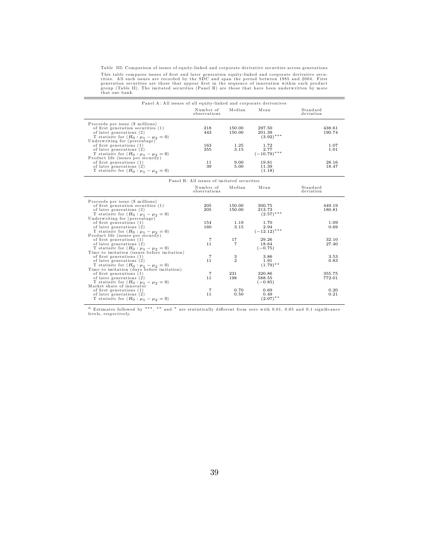Table III: Comparison of issues of equity-linked and corporate derivative securities across generations This table compares issues of first and later generation equity-linked and corporate derivative secu-<br>rities. All such issues are recorded by the SDC and span the period between 1985 and 2004. First<br>generation securities a

| Panel A: All issues of all equity-linked and corporate derivatives                                                                                                                |                                            |                  |                                  |                       |  |  |  |
|-----------------------------------------------------------------------------------------------------------------------------------------------------------------------------------|--------------------------------------------|------------------|----------------------------------|-----------------------|--|--|--|
|                                                                                                                                                                                   | Number of<br>observations                  | Median           | Mean                             | Standard<br>deviation |  |  |  |
| Proceeds per issue (\$ millions)<br>of first generation securities (1)<br>of later generations (2)<br>T statisite for $(H_0: \mu_1 - \mu_2 = 0)$<br>Underwriting fee (percentage) | 218<br>443                                 | 150.00<br>150.00 | 297.50<br>201.39<br>$(3.92)$ *** | 438.61<br>190.74      |  |  |  |
| of first generations (1)<br>of later generations (2)<br>T statisite for $(H_0: \mu_1 - \mu_2 = 0)$<br>Product life (issues per security)                                          | 163<br>355                                 | 1.25<br>3.15     | 1.72<br>2.77<br>$(-10.79)$ ***   | 1.07<br>1.01          |  |  |  |
| of first generations (1)<br>of later generations $(2)$<br>T statisite for $(H_0: \mu_1 - \mu_2 = 0)$                                                                              | 11<br>39                                   | 9.00<br>5.00     | 19.81<br>11.39<br>(1.18)         | 28.16<br>18.47        |  |  |  |
|                                                                                                                                                                                   | Panel B: All issues of imitated securities |                  |                                  |                       |  |  |  |

|                                                                       | Number of<br>observations | Median        | Mean                | Standard<br>deviation |
|-----------------------------------------------------------------------|---------------------------|---------------|---------------------|-----------------------|
| Proceeds per issue (\$ millions)                                      |                           |               |                     |                       |
| of first generation securities (1)                                    | 205                       | 150.00        | 300.75              | 449.19                |
| of later generations (2)                                              | 205                       | 150.00        | 213.73              | 180.81                |
| T statisite for $(H_0: \mu_1 - \mu_2 = 0)$                            |                           |               | $(2.57)$ ***        |                       |
| Underwriting fee (percentage)                                         |                           |               |                     |                       |
| of first generations (1)                                              | 154                       | 1.19          | 1.70                | 1.09                  |
| of later generations (2)                                              | 160                       | 3.15          | 2.94                | 0.69                  |
| T statisite for $(H_0: \mu_1 - \mu_2 = 0)$                            |                           |               | $(-12.12)$ ***      |                       |
| Product life (issues per security)                                    |                           |               |                     |                       |
| of first generations (1)                                              | 7                         | 17            | 29.26               | 32.10                 |
| of later generations (2)                                              | 11                        | 7             | 18.64               | 27.40                 |
| T statisite for $(H_0: \mu_1 - \mu_2 = 0)$                            |                           |               | $(-0.75)$           |                       |
| Time to imitation (issues before imitation)                           |                           |               |                     |                       |
| of first generations (1)                                              |                           | $\frac{3}{2}$ | 3.86                | 3.53                  |
| of later generations (2)                                              | 11                        |               | 1.91<br>$(1.79)$ ** | 0.83                  |
| T statisite for $(H_0: \mu_1 - \mu_2 = 0)$                            |                           |               |                     |                       |
| Time to imitation (days before imitation)<br>of first generations (1) | 7                         | 231           | 320.86              | 355.75                |
| of later generations (2)                                              | 11                        | 198           | 588.55              | 772.01                |
| T statisite for $(H_0: \mu_1 - \mu_2 = 0)$                            |                           |               | $(-0.85)$           |                       |
| Market share of innovator                                             |                           |               |                     |                       |
| of first generations (1)                                              | $\overline{7}$            | 0.70          | 0.69                | 0.20                  |
| of later generations (2)                                              | 11                        | 0.50          | 0.49                | 0.21                  |
| T statisite for $(H_0: \mu_1 - \mu_2 = 0)$                            |                           |               | $(2.07)$ **         |                       |
|                                                                       |                           |               |                     |                       |

 $a$  Estimates followed by \*\*\*, \*\* and \* are statistically different from zero with 0.01, 0.05 and 0.1 significance levels, respectively.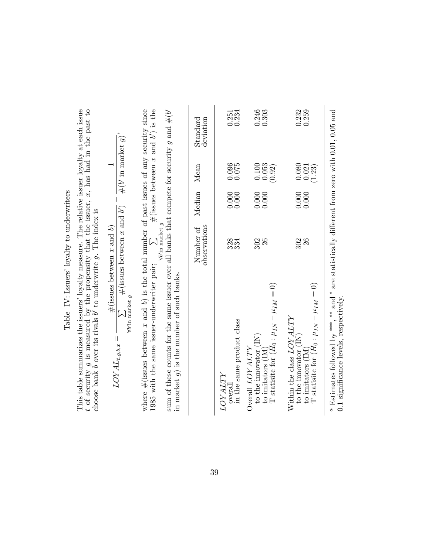Table IV: Issuers' loyalty to underwriters Table IV: Issuers' loyalty to underwriters

This table summarizes the issuersíloyalty measure. The relative issuer loyalty at each issue This table summarizes the issuers' loyalty measure. The relative issuer loyalty at each issue t of security  $g$  is measured by the propensity that the issuer,  $x$ , has had in the past to choose bank  $b$  over its rivals  $b$  of security g is measured by the propensity that the issuer, x, has had in the past to choose bank b over its rivals b to underwrite g. The index is

$$
LOYA_{t,g,b,x} = \frac{\#(\text{issues between } x \text{ and } b)}{\sum_{\forall b \text{ in market } g} \#(\text{issues between } x \text{ and } b')} - \frac{1}{\#(b' \text{ in market } g)},
$$

where  $#$  (issues between x and b) is the total number of past issues of any security since where  $#$  (issues between x and b) is the total number of past issues of any security since issues between x and  $b'$ ) is the  $\frac{4}{g}$  $\forall b'$ in market 1985 with the same issuer-underwriter pair;  $\Sigma$ 1985 with the same issuer-underwriter pair;

sum of these counts for the same issuer over all banks that compete for security g and  $\#(b'$ sum of these counts for the same issuer over all banks that compete for security g and  $\#(b^{\prime})$ in market  $g$ ) is the number of such banks. in market  $g$ ) is the number of such banks.

|                                                                                                                            | Number of Median Mean<br>observations |                |                                                         | deviation<br>Standard                         |
|----------------------------------------------------------------------------------------------------------------------------|---------------------------------------|----------------|---------------------------------------------------------|-----------------------------------------------|
| in the same product class<br><b>LOY ALTY</b><br>overall                                                                    | 334                                   | 0.000          | $\begin{array}{c} 0.096 \\ 0.075 \end{array}$           | 0.251                                         |
| T statisite for $(H_0: \mu_{IN} - \mu_{IM} = 0)$<br>to the innovator (IN)<br>Overall $LOYALTY$<br>to imitators (IM)        | $\frac{302}{26}$                      | 0.000<br>0.000 | $\begin{array}{c} 0.100 \\ 0.053 \\ (0.92) \end{array}$ | 0.246<br>0.303                                |
| T statisite for $(H_0: \mu_{IN} - \mu_{IM} = 0)$<br>Within the class LOYALTY<br>to the innovator (IN)<br>to imitators (IM) | $\frac{302}{26}$                      | 0.000<br>0.000 | $\begin{array}{c} 0.080 \\ 0.021 \\ (1.23) \end{array}$ | $\begin{array}{c} 0.232 \\ 0.259 \end{array}$ |

 $^a$  Estimates followed by \*\*\*, \*\*\* and \* are statistically different from zero with 0.01, 0.05 and a Estimates followed by \*\*\*,  $^*$  and \* are statistically different from zero with 0.01, 0.05 and  $\alpha$  +  $^*$ 0.1 significance levels, respectively.  $0.1$  significance levels, respectively.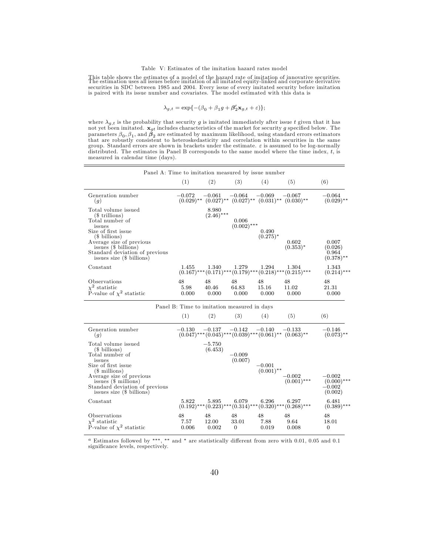This table shows the estimates of a model of the hazard rate of imitation of innovative securities. The estimation uses all issues before imitation of all imitated equity-linked and corporate derivative securities in SDC between 1985 and 2004. Every issue of every imitated security before imitation is paired with its issue number and covariates. The model estimated with this data is

$$
\lambda_{g,t} = \exp\{-(\beta_0 + \beta_1 g + \beta_2' \mathbf{x}_{g,t} + \varepsilon)\};
$$

where  $\lambda_{g,t}$  is the probability that security g is imitated immediately after issue t given that it has not yet been imitated.  $\mathbf{x}_{gt}$  includes characteristics of the market for security g specified below. The parameters  $\beta_0, \beta_1,$  and  $\boldsymbol{\beta}_2$  are estimated by maximum likelihood, using standard errors estimators that are robustly consistent to heteroskedasticity and correlation within securities in the same group. Standard errors are shown in brackets under the estimate.  $\varepsilon$  is assumed to be log-normally distributed. The estimates in Panel B corresponds to the same model where the time index,  $t$ , is measured in calendar time (days).

| Panel A: Time to imitation measured by issue number                                                                                                                 |                          |                       |                                             |                      |                                                                                 |                                                  |
|---------------------------------------------------------------------------------------------------------------------------------------------------------------------|--------------------------|-----------------------|---------------------------------------------|----------------------|---------------------------------------------------------------------------------|--------------------------------------------------|
|                                                                                                                                                                     | (1)                      | (2)                   | (3)                                         | (4)                  | (5)                                                                             | (6)                                              |
| Generation number<br>(g)                                                                                                                                            | $-0.072$<br>$(0.029)$ ** | $-0.061$              | $-0.064$                                    | $-0.069$             | $-0.067$<br>$(0.027)$ ** $(0.027)$ ** $(0.031)$ ** $(0.030)$ **                 | $-0.064$<br>$(0.029)$ **                         |
| Total volume issued<br>(\$ trillions)<br>Total number of<br>issues<br>Size of first issue<br>(\$ billions)<br>Average size of previous<br>issues $(\$$ billions $)$ |                          | 8.980<br>$(2.46)$ *** | 0.006<br>$(0.002)$ ***                      | 0.490<br>$(0.275)^*$ | 0.602<br>$(0.353)^*$                                                            | 0.007<br>(0.026)                                 |
| Standard deviation of previous<br>issues size $(\$$ billions)                                                                                                       |                          |                       |                                             |                      |                                                                                 | 0.964<br>$(0.378)$ **                            |
| Constant                                                                                                                                                            | 1.455                    | 1.340                 | 1.279                                       | 1.294                | 1.304<br>$(0.167)$ *** $(0.171)$ *** $(0.179)$ *** $(0.218)$ *** $(0.215)$ ***  | 1.343<br>$(0.214)$ ***                           |
| Observations<br>$\chi^2$ statistic<br>P-value of $\chi^2$ statistic                                                                                                 | 48<br>5.98<br>0.000      | 48<br>40.46<br>0.000  | 48<br>64.83<br>0.000                        | 48<br>15.16<br>0.000 | 48<br>11.02<br>0.000                                                            | 48<br>21.31<br>0.000                             |
|                                                                                                                                                                     |                          |                       | Panel B: Time to imitation measured in days |                      |                                                                                 |                                                  |
|                                                                                                                                                                     | (1)                      | (2)                   | (3)                                         | (4)                  | (5)                                                                             | (6)                                              |
| Generation number<br>(g)                                                                                                                                            | $-0.130$                 | $-0.137$              | $-0.142$                                    | $-0.140$             | $-0.133$<br>$(0.047)$ *** $(0.045)$ *** $(0.039)$ *** $(0.061)$ ** $(0.063)$ ** | $-0.146$<br>$(0.073)$ **                         |
| Total volume issued<br>(\$ billions)<br>Total number of<br>issues<br>Size of first issue                                                                            |                          | $-5.750$<br>(6.453)   | $-0.009$<br>(0.007)                         | $-0.001$             |                                                                                 |                                                  |
| (\$ millions)<br>Average size of previous<br>issues $(\text{\$}$ millions)<br>Standard deviation of previous<br>issues size $(\$$ billions)                         |                          |                       |                                             | $(0.001)$ **         | $-0.002$<br>$(0.001)$ ***                                                       | $-0.002$<br>$(0.000)$ ***<br>$-0.002$<br>(0.002) |
| Constant                                                                                                                                                            | 5.822                    | 5.895                 | 6.079                                       | 6.296                | 6.297<br>$(0.192)$ *** $(0.223)$ *** $(0.314)$ *** $(0.320)$ *** $(0.268)$ ***  | 6.481<br>$(0.389)$ ***                           |
| Observations<br>$\chi^2$ statistic<br>P-value of $\chi^2$ statistic                                                                                                 | 48<br>7.57<br>0.006      | 48<br>12.00<br>0.002  | 48<br>33.01<br>0                            | 48<br>7.88<br>0.019  | 48<br>9.64<br>0.008                                                             | 48<br>18.01<br>$\boldsymbol{0}$                  |

 $a$  Estimates followed by \*\*\*, \*\* and \* are statistically different from zero with 0.01, 0.05 and 0.1 significance levels, respectively.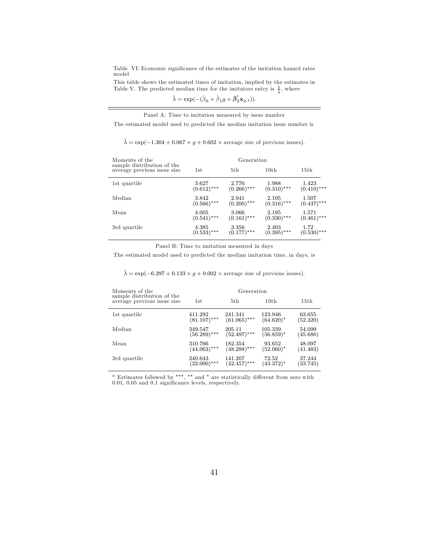Table VI: Economic significance of the estimates of the imitation hazard rates model

This table shows the estimated times of imitation, implied by the estimates in Table V. The predicted median time for the imitators entry is  $\frac{1}{\hat{\lambda}}$ , where

$$
\hat{\lambda} = \exp(-(\hat{\beta}_0 + \hat{\beta}_1 g + \hat{\beta}'_2 \mathbf{x}_{g,t})).
$$

Panel A: Time to imitation measured by issue number

The estimated model used to predicted the median imitation issue number is

 $\hat{\lambda} = \exp(-1.304 + 0.067 \times g + 0.602 \times \text{average size of previous issues}).$ 

| Moments of the                                            | Generation    |               |               |               |  |  |
|-----------------------------------------------------------|---------------|---------------|---------------|---------------|--|--|
| sample distribution of the<br>average previous issue size | 1st           | 5th.          | 10th          | 15th          |  |  |
| 1st quartile                                              | 3.627         | 2.776         | 1.988         | 1.423         |  |  |
|                                                           | $(0.612)$ *** | $(0.266)$ *** | $(0.310)$ *** | $(0.410)$ *** |  |  |
| Median                                                    | 3.842         | 2.941         | 2.105         | 1.507         |  |  |
|                                                           | $(0.566)$ *** | $(0.200)$ *** | $(0.316)$ *** | $(0.437)$ *** |  |  |
| Mean                                                      | 4.005         | 3.066         | 2.195         | 1.571         |  |  |
|                                                           | $(0.541)$ *** | $(0.161)$ *** | $(0.330)$ *** | $(0.461)$ *** |  |  |
| 3rd quartile                                              | 4.385         | 3.356         | 2.403         | 1.72          |  |  |
|                                                           | $(0.533)$ *** | $(0.177)$ *** | $(0.395)$ *** | $(0.530)$ *** |  |  |
|                                                           |               |               |               |               |  |  |

Panel B: Time to imitation measured in days

The estimated model used to predicted the median imitation time, in days, is

 $\hat{\lambda} = \exp(-6.297 + 0.133 \times g + 0.002 \times \text{average size of previous issues}).$ 

| Moments of the<br>sample distribution of the | Generation     |                |              |          |  |  |  |
|----------------------------------------------|----------------|----------------|--------------|----------|--|--|--|
| average previous issue size                  | 1st            | 5th            | 10th         | 15th     |  |  |  |
| 1st quartile                                 | 411.292        | 241.341        | 123.946      | 63.655   |  |  |  |
|                                              | $(81.107)$ *** | $(61.065)$ *** | $(64.620)^*$ | (52.320) |  |  |  |
| Median                                       | 349.547        | 205.11         | 105.339      | 54.099   |  |  |  |
|                                              | $(56.289)$ *** | $(52.497)$ *** | $(56.859)^*$ | (45.686) |  |  |  |
| Mean                                         | 310.766        | 182.354        | 93.652       | 48.097   |  |  |  |
|                                              | $(44.063)$ *** | $(48.288)$ *** | $(52.060)^*$ | (41.483) |  |  |  |
| 3rd quartile                                 | 240.643        | 141.207        | 72.52        | 37.244   |  |  |  |
|                                              | $(32.000)$ *** | $(42.457)$ *** | $(43.372)^*$ | (33.745) |  |  |  |

 $a$  Estimates followed by \*\*\*, \*\* and \* are statistically different from zero with  $0.01$ ,  $0.05$  and  $0.1$  significance levels, respectively.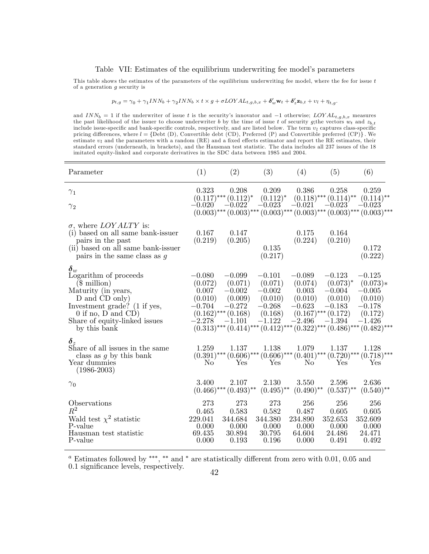This table shows the estimates of the parameters of the equilibrium underwriting fee model, where the fee for issue  $t$ of a generation  $g$  security is

$$
p_{t,g} = \gamma_0 + \gamma_1 INN_b + \gamma_2 INN_b \times t \times g + \sigma LOYAL_{t,g,b,x} + \delta'_w \mathbf{w}_t + \delta'_z \mathbf{z}_{b,t} + v_l + \eta_{t,g}.
$$

and  $INN_b = 1$  if the underwriter of issue t is the security's innovator and  $-1$  otherwise;  $LOYAL_{t,g,b,x}$  measures the past likelihood of the issuer to choose underwriter b by the time of issue t of security g;the vectors  $w_t$  and  $z_{b,t}$ include issue-specific and bank-specific controls, respectively, and are listed below. The term  $v_l$  captures class-specific pricing differences, where  $l = \{ \text{Debt (D)}, \text{ Convertible debt (CD)}, \text{Preferred (P) and Convertible preferred (CP)} \}$ . We estimate  $v_l$  and the parameters with a random (RE) and a fixed effects estimator and report the RE estimates, their standard errors (underneath, in brackets), and the Hausman test statistic. The data includes all 237 issues of the 18 imitated equity-linked and corporate derivatives in the SDC data between 1985 and 2004.

| Parameter                                                                                                                                                                                              | (1)                                                             | (2)                                                                                           | (3)                                                                                       | (4)                                                  | (5)                                                                                                                                                                                      | (6)                                                                              |
|--------------------------------------------------------------------------------------------------------------------------------------------------------------------------------------------------------|-----------------------------------------------------------------|-----------------------------------------------------------------------------------------------|-------------------------------------------------------------------------------------------|------------------------------------------------------|------------------------------------------------------------------------------------------------------------------------------------------------------------------------------------------|----------------------------------------------------------------------------------|
| $\gamma_1$<br>$\gamma_2$                                                                                                                                                                               | 0.323<br>$-0.020$                                               | 0.208<br>$(0.117)$ *** $(0.112)$ *<br>$-0.022$                                                | 0.209<br>$-0.023$                                                                         | 0.386<br>$-0.021'$                                   | 0.258<br>$(0.112)^*$ $(0.118)^{***}$ $(0.114)^{**}$ $(0.114)^{**}$<br>$-0.023'$<br>$(0.003)$ *** $(0.003)$ *** $(0.003)$ *** $(0.003)$ *** $(0.003)$ *** $(0.003)$ *** $(0.003)$ ***     | 0.259<br>$-0.023$                                                                |
| $\sigma$ , where <i>LOYALTY</i> is:<br>(i) based on all same bank-issuer<br>pairs in the past<br>(ii) based on all same bank-issuer<br>pairs in the same class as $q$                                  | 0.167<br>(0.219)                                                | 0.147<br>(0.205)                                                                              | 0.135<br>(0.217)                                                                          | 0.175<br>(0.224)                                     | 0.164<br>(0.210)                                                                                                                                                                         | 0.172<br>(0.222)                                                                 |
| $\delta_w$<br>Logarithm of proceeds<br>$($$ million)<br>Maturity (in years,<br>D and CD only)<br>Investment grade? (1 if yes,<br>$0$ if no, D and CD)<br>Share of equity-linked issues<br>by this bank | $-0.080$<br>(0.072)<br>0.007<br>(0.010)<br>$-0.704$<br>$-2.278$ | $-0.099$<br>(0.071)<br>$-0.002$<br>(0.009)<br>$-0.272$<br>$(0.162)$ *** $(0.168)$<br>$-1.101$ | $-0.101$<br>$(0.071)$ $(0.074)$<br>$-0.002$<br>(0.010)<br>$-0.268$<br>(0.168)<br>$-1.122$ | $-0.089$<br>0.003<br>(0.010)<br>$-0.623$<br>$-2.496$ | $-0.123$<br>$(0.073)^*$<br>$-0.004$<br>(0.010)<br>$-0.183$<br>$(0.167)$ *** $(0.172)$<br>$-1.394$<br>$(0.313)$ *** $(0.414)$ *** $(0.412)$ *** $(0.322)$ *** $(0.486)$ *** $(0.482)$ *** | $-0.125$<br>$(0.073)*$<br>$-0.005$<br>(0.010)<br>$-0.178$<br>(0.172)<br>$-1.426$ |
| $\delta_z$<br>Share of all issues in the same<br>class as $g$ by this bank<br>Year dummies<br>$(1986 - 2003)$                                                                                          | 1.259<br>No                                                     | 1.137<br>Yes                                                                                  | 1.138<br>Yes                                                                              | 1.079<br>No                                          | 1.137<br>$(0.391)$ *** $(0.606)$ *** $(0.606)$ *** $(0.401)$ *** $(0.720)$ *** $(0.718)$ ***<br><b>Yes</b>                                                                               | 1.128<br>Yes                                                                     |
| $\gamma_0$                                                                                                                                                                                             | 3.400                                                           | 2.107<br>$(0.466)$ *** $(0.493)$ **                                                           | 2.130<br>$(0.495)$ **                                                                     | 3.550<br>$(0.490)$ **                                | 2.596<br>$(0.537)$ **                                                                                                                                                                    | 2.636<br>$(0.540)$ **                                                            |
| Observations<br>$R^2$<br>Wald test $\chi^2$ statistic<br>P-value<br>Hausman test statistic<br>P-value                                                                                                  | 273<br>0.465<br>229.041<br>0.000<br>69.435<br>0.000             | 273<br>0.583<br>344.684<br>0.000<br>30.894<br>0.193                                           | 273<br>0.582<br>344.380<br>0.000<br>30.795<br>0.196                                       | 256<br>0.487<br>234.890<br>0.000<br>64.604<br>0.000  | 256<br>0.605<br>352.653<br>0.000<br>24.486<br>0.491                                                                                                                                      | 256<br>0.605<br>352.609<br>0.000<br>24.471<br>0.492                              |

 $a$  Estimates followed by \*\*\*, \*\* and \* are statistically different from zero with 0.01, 0.05 and 0.1 significance levels, respectively.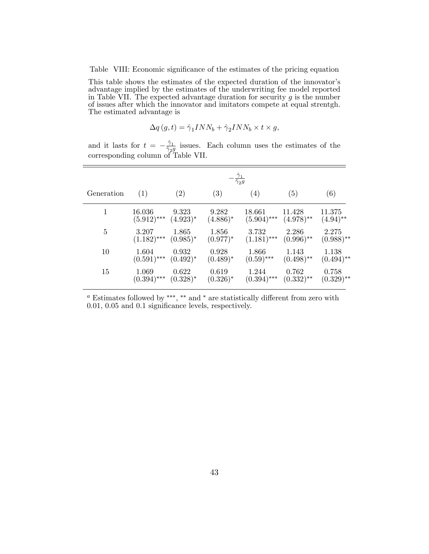Table VIII: Economic significance of the estimates of the pricing equation

This table shows the estimates of the expected duration of the innovator's advantage implied by the estimates of the underwriting fee model reported in Table VII. The expected advantage duration for security  $g$  is the number of issues after which the innovator and imitators compete at equal strentgh. The estimated advantage is

$$
\Delta q(g, t) = \hat{\gamma}_1 INN_b + \hat{\gamma}_2 INN_b \times t \times g,
$$

and it lasts for  $t = -\frac{\hat{\gamma}_1}{\hat{\gamma}_2}$  $\frac{\gamma_1}{\hat{\gamma}_2 g}$  issues. Each column uses the estimates of the corresponding column of Table VII.

|                | $\frac{\gamma_1}{\hat{\gamma}_2 g}$ |             |             |               |              |                         |  |  |  |
|----------------|-------------------------------------|-------------|-------------|---------------|--------------|-------------------------|--|--|--|
| Generation     | (1)                                 | (2)         | (3)         | (4)           | (5)          | (6)                     |  |  |  |
|                | 16.036                              | 9.323       | 9.282       | 18.661        | 11.428       | 11.375                  |  |  |  |
|                | $(5.912)$ ***                       | $(4.923)^*$ | $(4.886)^*$ | $(5.904)$ *** | $(4.978)$ ** | $(4.94)$ **             |  |  |  |
| $\overline{5}$ | 3.207                               | 1.865       | 1.856       | 3.732         | 2.286        | 2.275                   |  |  |  |
|                | $(1.182)$ ***                       | $(0.985)^*$ | $(0.977)^*$ | $(1.181)$ *** | $(0.996)$ ** | $(0.988)$ **            |  |  |  |
| 10             | 1.604                               | 0.932       | 0.928       | 1.866         | 1.143        | 1.138                   |  |  |  |
|                | $(0.591)$ ***                       | $(0.492)^*$ | $(0.489)^*$ | $(0.59)$ ***  | $(0.498)$ ** | $(0.494)$ <sup>**</sup> |  |  |  |
| 15             | 1.069                               | 0.622       | 0.619       | 1.244         | 0.762        | 0.758                   |  |  |  |
|                | $(0.394)$ ***                       | $(0.328)^*$ | $(0.326)^*$ | $(0.394)$ *** | $(0.332)$ ** | $(0.329)$ **            |  |  |  |

 $a$  Estimates followed by \*\*\*, \*\* and \* are statistically different from zero with  $0.01, 0.05$  and  $0.1$  significance levels, respectively.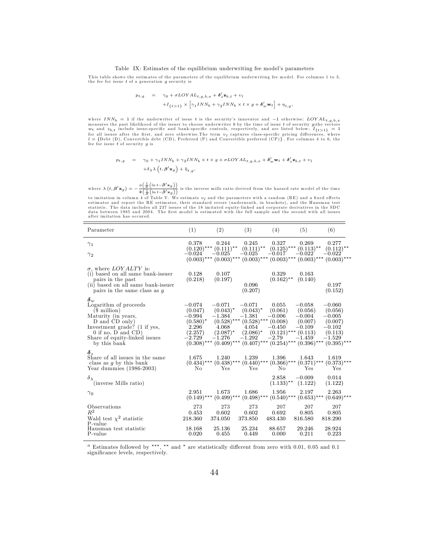#### Table IX: Estimates of the equilibrium underwriting fee model's parameters

This table shows the estimates of the parameters of the equilibrium underwriting fee model. For columns 1 to 3, the fee for issue  $t$  of a generation  $g$  security is

$$
p_{t,g} = \gamma_0 + \sigma LOYAL_{t,g,b,x} + \delta'_z \mathbf{z}_{b,t} + v_l
$$
  
+
$$
I_{\{t>1\}} \times \left[ \gamma_1 INN_b + \gamma_2 INN_b \times t \times g + \delta'_w \mathbf{w}_t \right] + \eta_{t,g},
$$

where  $INN_b = 1$  if the underwriter of issue t is the security's innovator and  $-1$  otherwise;  $LOYAL_{t,g,b,x}$ <br>measures the past likelihood of the issuer to choose underwriter b by the time of issue t of security githe vectors<br> fee for issue  $t$  of security  $g$  is

$$
p_{t,g} = \gamma_0 + \gamma_1 INN_b + \gamma_2 INN_b \times t \times g + \sigma LOYAL_{t,g,b,x} + \delta'_w \mathbf{w}_t + \delta'_z \mathbf{z}_{b,t} + v_l
$$
  
+  $\delta_\lambda \lambda \left( t, \beta' \mathbf{x}_g \right) + \tilde{\eta}_{t,g},$ 

where  $\lambda \left( t, \beta' \mathbf{x}_g \right) = -\frac{\phi\left( \frac{1}{\hat{\sigma}} \left( \ln t - \hat{\beta}' \mathbf{x}_g \right) \right)}{\Phi\left( \frac{1}{\hat{\sigma}} \left( \ln t - \hat{\beta}' \mathbf{x}_g \right) \right)}$  $\frac{1}{\Phi\left(\frac{1}{\hat{\sigma}}\left(\ln t - \hat{\boldsymbol{\beta}}' \mathbf{x}_g\right)\right)}$  is the inverse mills ratio derived from the hazard rate model of the time

to imitation in column 4 of Table V. We estimate  $v_l$  and the parameters with a random (RE) and a fixed effects<br>estimator and report the RE estimates, their standard errors (underneath, in brackets), and the Hausman test<br>

 $\overline{a}$ 

| Parameter                                                                                                                                                                                                 | (1)                                                                                             | (2)                                                                                                            | (3)                                                                                                                   | (4)                                                                                   | (5)                                                                                            | (6)                                                                                            |
|-----------------------------------------------------------------------------------------------------------------------------------------------------------------------------------------------------------|-------------------------------------------------------------------------------------------------|----------------------------------------------------------------------------------------------------------------|-----------------------------------------------------------------------------------------------------------------------|---------------------------------------------------------------------------------------|------------------------------------------------------------------------------------------------|------------------------------------------------------------------------------------------------|
| $\gamma_1$<br>$\gamma_2$                                                                                                                                                                                  | 0.378<br>$(0.120)$ ***<br>$-0.024$                                                              | 0.244<br>$(0.111)$ <sup>**</sup><br>$-0.025$                                                                   | 0.245<br>$(0.111)$ <sup>**</sup><br>$-0.025$<br>$(0.003)$ *** $(0.003)$ *** $(0.003)$ *** $(0.003)$ *** $(0.003)$ *** | 0.327<br>$(0.125)$ ***<br>$-0.017$                                                    | 0.269<br>$(0.113)$ <sup>**</sup><br>$-0.022$                                                   | 0.277<br>$(0.112)$ <sup>**</sup><br>$-0.022$<br>$(0.003)$ ***                                  |
| $\sigma$ , where <i>LOYALTY</i> is:<br>(i) based on all same bank-issuer<br>pairs in the past<br>(ii) based on all same bank-issuer<br>pairs in the same class as $q$                                     | 0.128<br>(0.218)                                                                                | 0.107<br>(0.197)                                                                                               | 0.096<br>(0.207)                                                                                                      | 0.329<br>$(0.162)$ **                                                                 | 0.163<br>(0.140)                                                                               | 0.197<br>(0.152)                                                                               |
| $\delta_w$<br>Logarithm of proceeds<br>$($$ million $)$<br>Maturity (in years,<br>D and CD only)<br>Investment grade? (1 if yes,<br>$0$ if no, D and CD)<br>Share of equity-linked issues<br>by this bank | $-0.074$<br>(0.047)<br>$-0.994$<br>$(0.580)^*$<br>2.296<br>(2.257)<br>$-2.729$<br>$(0.308)$ *** | $-0.071$<br>$(0.043)^*$<br>$^{-1.384}$<br>$(0.528)$ ***<br>4.068<br>$(2.087)^*$<br>$-1.276\,$<br>$(0.409)$ *** | $-0.071$<br>$(0.043)^*$<br>$-1.381$<br>$(0.528)$ *** $(0.008)$<br>4.054<br>$(2.086)^*$<br>$-1.292$<br>$(0.407)$ ***   | 0.055<br>(0.061)<br>$-0.006$<br>$-0.450$<br>$(0.121)$ ***<br>$-2.79$<br>$(0.254)$ *** | $-0.058$<br>(0.056)<br>$-0.004$<br>(0.007)<br>$-0.109$<br>(0.113)<br>$-1.459$<br>$(0.396)$ *** | $-0.060$<br>(0.056)<br>$-0.005$<br>(0.007)<br>$-0.102$<br>(0.113)<br>$-1.529$<br>$(0.395)$ *** |
| $\delta_z$<br>Share of all issues in the same<br>class as $g$ by this bank<br>Year dummies $(1986-2003)$                                                                                                  | 1.675<br>$(0.434)$ ***<br>No                                                                    | 1.240<br>$(0.438)$ ***<br>Yes                                                                                  | 1.239<br>$(0.440)$ ***<br>Yes                                                                                         | 1.396<br>$(0.366)$ ***<br>No                                                          | 1.643<br>$(0.371)$ ***<br>Yes                                                                  | 1.619<br>$(0.373)$ ***<br>Yes                                                                  |
| $\delta_\lambda$<br>(inverse Mills ratio)                                                                                                                                                                 |                                                                                                 |                                                                                                                |                                                                                                                       | 2.858<br>$(1.133)$ **                                                                 | $-0.009$<br>(1.122)                                                                            | 0.014<br>(1.122)                                                                               |
| $\gamma_0$                                                                                                                                                                                                | 2.951<br>$(0.149)$ ***                                                                          | 1.673<br>$(0.499)$ ***                                                                                         | 1.686<br>$(0.498)$ ***                                                                                                | 1.956<br>$(0.540)$ ***                                                                | 2.197<br>$(0.653)$ ***                                                                         | 2.263<br>$(0.649)$ ***                                                                         |
| Observations<br>$R^2$<br>Wald test $\chi^2$ statistic<br>P-value                                                                                                                                          | 273<br>0.453<br>218.360                                                                         | 273<br>0.602<br>374.050                                                                                        | 273<br>0.602<br>373.850                                                                                               | 207<br>0.692<br>483.430                                                               | 207<br>0.805<br>816.580                                                                        | 207<br>0.805<br>818.290                                                                        |
| Hausman test statistic<br>P-value                                                                                                                                                                         | 18.168<br>0.020                                                                                 | 25.136<br>0.455                                                                                                | 25.234<br>0.449                                                                                                       | 88.657<br>0.000                                                                       | 29.246<br>0.211                                                                                | 28.924<br>0.223                                                                                |

 $a$  Estimates followed by \*\*\*, \*\* and \* are statistically different from zero with 0.01, 0.05 and 0.1 significance levels, respectively.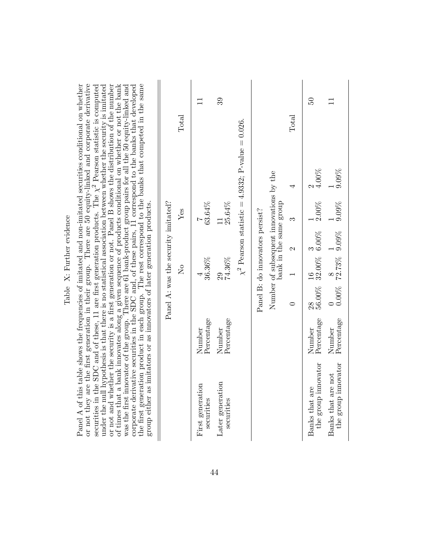| ì                |
|------------------|
| ř<br>¢<br>ì<br>ł |
| ÷<br>ļ           |
|                  |

corporate derivative securities in the SDC and, of these pairs, 11 correspond to the banks that developed the first generation product in each group. The rest correspond to the banks that competed in the same Panel A of this table shows the frequencies of imitated and non-imitated securities conditional on whether or not they are the first generation in their group. There are 50 equity-linked and corporate derivative securities in the SDC and of these, 11 are first generation products. The  $\chi^2$  Pearson statistic is computed under the null hypothesis is that there is no statistical association between whether the security is imitated or not and whether the security is a first generation or not. Panel B shows the distribution of the number of times that a bank innovates along a given sequence of products conditional on whether or not the bank was the first innovator of the group. There are 61 bank-product group pairs for all the 50 equity-linked and Panel A of this table shows the frequencies of imitated and non-imitated securities conditional on whether or not they are the Örst generation in their group. There are 50 equity-linked and corporate derivative securities in the SDC and of these, 11 are first generation products. The  $\chi^2$  Pearson statistic is computed under the null hypothesis is that there is no statistical association between whether the security is imitated  $\frac{1}{2}$ or not and whether the security is a Örst generation or not. Panel B shows the distribution of the number of times that a bank innovates along a given sequence of products conditional on whether or not the bank was the first innovator of the group. There are 61 bank-product group pairs for all the 50 equity-linked and corporate derivative securities in the SDC and, of these pairs, 11 correspond to the banks that developed  $\frac{1}{1}$ the first generation product in each group. The rest correspond to the banks that competed in the same group either as imitators or as innovators of later generation products. group either as imitators or as innovators of later generation products.

|                                           |                      | Panel A: was the security imitated?                          | $\overline{\mathsf{X}}^{\mathsf{o}}$ |                        | Yes                                                                             |                                                       | Total |                 |
|-------------------------------------------|----------------------|--------------------------------------------------------------|--------------------------------------|------------------------|---------------------------------------------------------------------------------|-------------------------------------------------------|-------|-----------------|
| First generation<br>securities            | Percentage<br>Number |                                                              | 36.36%                               |                        | $63.64\%$                                                                       |                                                       |       |                 |
| Later generation<br>securities            | Percentage<br>Number |                                                              | 74.36%<br>29                         |                        | $\frac{11}{25.64\%}$                                                            |                                                       |       | 39              |
|                                           |                      |                                                              |                                      |                        |                                                                                 | $\chi^2$ Pearson statistic = 4.9332; P-value = 0.026. |       |                 |
|                                           |                      | Panel B: do innovators persist?                              |                                      |                        |                                                                                 |                                                       |       |                 |
|                                           |                      |                                                              |                                      | bank in the same group | Number of subsequent innovations by the                                         |                                                       |       |                 |
|                                           |                      |                                                              |                                      | $\mathcal{C}$          |                                                                                 |                                                       | Total |                 |
| the group innovator<br>Banks that are     | Percentage<br>Number | $\frac{28}{56.00\%}$ $\frac{16}{32.00\%}$ $\frac{3}{6.00\%}$ |                                      |                        | $2.00\%$                                                                        | $4.00\%$                                              |       | $\overline{50}$ |
| the group innovator<br>Banks that are not | Percentage<br>Number |                                                              |                                      |                        | $\begin{array}{ccc} 0 & 8 & 1 \ 0.00\% & 72.73\% & 9.09\% & 9.09\% \end{array}$ | $9.09\%$                                              |       |                 |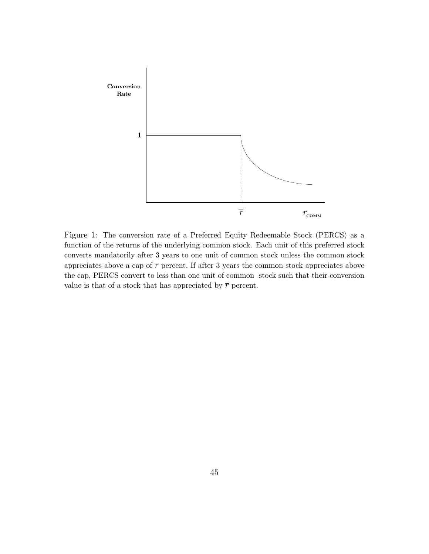

 $\frac{1}{2}$ function of the returns of the underlying common stock. Each unit of this preferred stock converts mandatorily after 3 years to one unit of common stock unless the common stock  $\frac{1}{2}$  can of  $\overline{x}$  porcent. If after appreciates above a cap of  $\overline{r}$  percent. If after 3 years the common stock appreciates above Figure 1: The conversion rate of a Preferred Equity Redeemable Stock (PERCS) as a the cap, PERCS convert to less than one unit of common stock such that their conversion value is that of a stock that has appreciated by  $\bar{r}$  percent.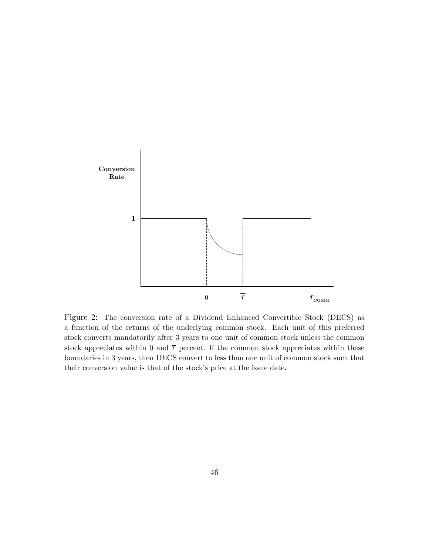

o roturns of the underlying common B a function of the returns of the underlying common stock. Each unit of this preferred stock converts mandatorily after 3 years to one unit of common stock unless the common stock appreciates within 0 and  $\bar{r}$  percent. If the common stock appreciates within these boundaries in 3 years, then DECS convert to less than one unit of common stock such that Figure 2: The conversion rate of a Dividend Enhanced Convertible Stock (DECS) as their conversion value is that of the stock's price at the issue date.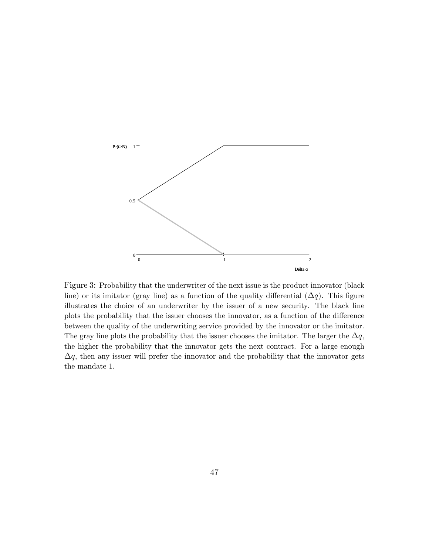

Figure 3: Probability that the underwriter of the next issue is the product innovator (black line) or its imitator (gray line) as a function of the quality differential  $(\Delta q)$ . This figure illustrates the choice of an underwriter by the issuer of a new security. The black line plots the probability that the issuer chooses the innovator, as a function of the difference between the quality of the underwriting service provided by the innovator or the imitator. The gray line plots the probability that the issuer chooses the imitator. The larger the  $\Delta q$ , the higher the probability that the innovator gets the next contract. For a large enough  $\Delta q$ , then any issuer will prefer the innovator and the probability that the innovator gets the mandate 1.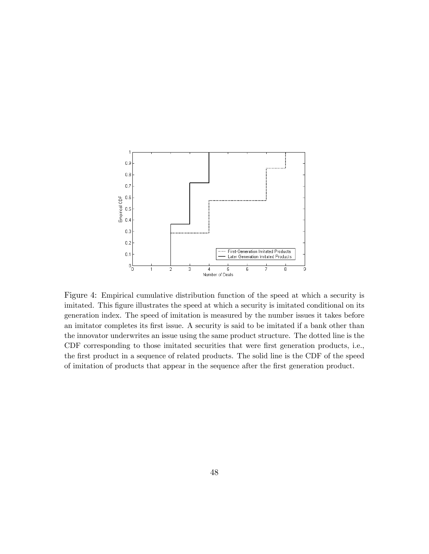

Figure 4: Empirical cumulative distribution function of the speed at which a security is imitated. This figure illustrates the speed at which a security is imitated conditional on its generation index. The speed of imitation is measured by the number issues it takes before an imitator completes its first issue. A security is said to be imitated if a bank other than the innovator underwrites an issue using the same product structure. The dotted line is the CDF corresponding to those imitated securities that were first generation products, i.e., the first product in a sequence of related products. The solid line is the CDF of the speed of imitation of products that appear in the sequence after the Örst generation product.